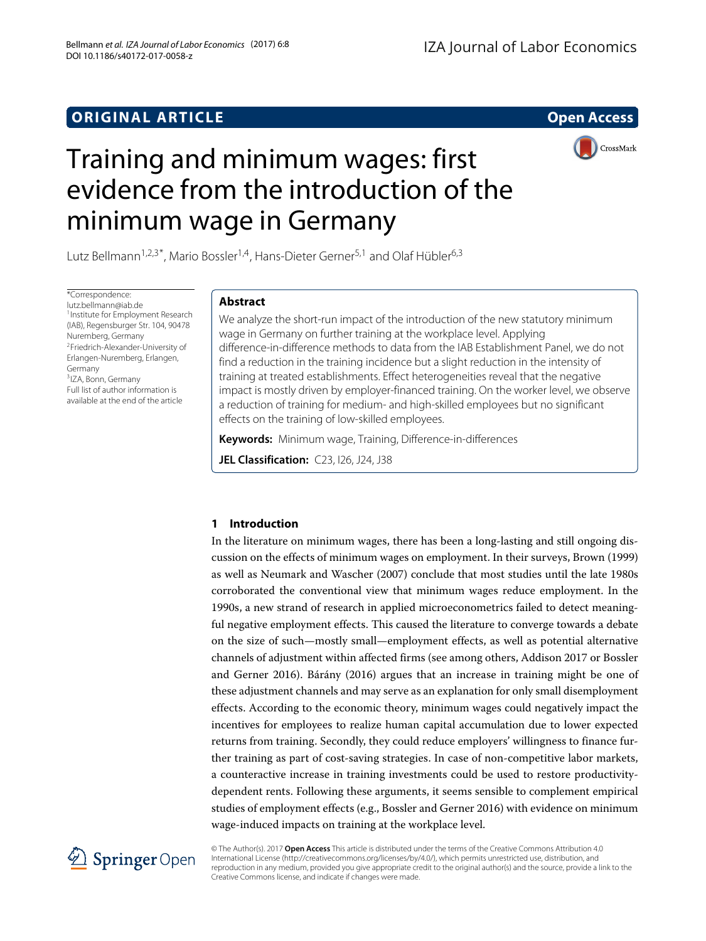## **ORIGINAL ARTICLE Open Access**

CrossMark

# Training and minimum wages: first evidence from the introduction of the minimum wage in Germany

Lutz Bellmann<sup>1,2,3\*</sup>, Mario Bossler<sup>1,4</sup>, Hans-Dieter Gerner<sup>5,1</sup> and Olaf Hübler<sup>6,3</sup>

\*Correspondence: [lutz.bellmann@iab.de](mailto: lutz.bellmann@iab.de) <sup>1</sup> Institute for Employment Research (IAB), Regensburger Str. 104, 90478 Nuremberg, Germany 2Friedrich-Alexander-University of Erlangen-Nuremberg, Erlangen, Germany 3IZA, Bonn, Germany Full list of author information is available at the end of the article

## **Abstract**

We analyze the short-run impact of the introduction of the new statutory minimum wage in Germany on further training at the workplace level. Applying difference-in-difference methods to data from the IAB Establishment Panel, we do not find a reduction in the training incidence but a slight reduction in the intensity of training at treated establishments. Effect heterogeneities reveal that the negative impact is mostly driven by employer-financed training. On the worker level, we observe a reduction of training for medium- and high-skilled employees but no significant effects on the training of low-skilled employees.

**Keywords:** Minimum wage, Training, Difference-in-differences

**JEL Classification:** C23, I26, J24, J38

## **1 Introduction**

In the literature on minimum wages, there has been a long-lasting and still ongoing discussion on the effects of minimum wages on employment. In their surveys, Brown [\(1999\)](#page-21-0) as well as Neumark and Wascher [\(2007\)](#page-21-1) conclude that most studies until the late 1980s corroborated the conventional view that minimum wages reduce employment. In the 1990s, a new strand of research in applied microeconometrics failed to detect meaningful negative employment effects. This caused the literature to converge towards a debate on the size of such—mostly small—employment effects, as well as potential alternative channels of adjustment within affected firms (see among others, Addison [2017](#page-21-2) or Bossler and Gerner [2016\)](#page-21-3). Bárány [\(2016\)](#page-21-4) argues that an increase in training might be one of these adjustment channels and may serve as an explanation for only small disemployment effects. According to the economic theory, minimum wages could negatively impact the incentives for employees to realize human capital accumulation due to lower expected returns from training. Secondly, they could reduce employers' willingness to finance further training as part of cost-saving strategies. In case of non-competitive labor markets, a counteractive increase in training investments could be used to restore productivitydependent rents. Following these arguments, it seems sensible to complement empirical studies of employment effects (e.g., Bossler and Gerner [2016\)](#page-21-3) with evidence on minimum wage-induced impacts on training at the workplace level.



© The Author(s). 2017 **Open Access** This article is distributed under the terms of the Creative Commons Attribution 4.0 International License [\(http://creativecommons.org/licenses/by/4.0/\)](http://creativecommons.org/licenses/by/4.0/), which permits unrestricted use, distribution, and reproduction in any medium, provided you give appropriate credit to the original author(s) and the source, provide a link to the Creative Commons license, and indicate if changes were made.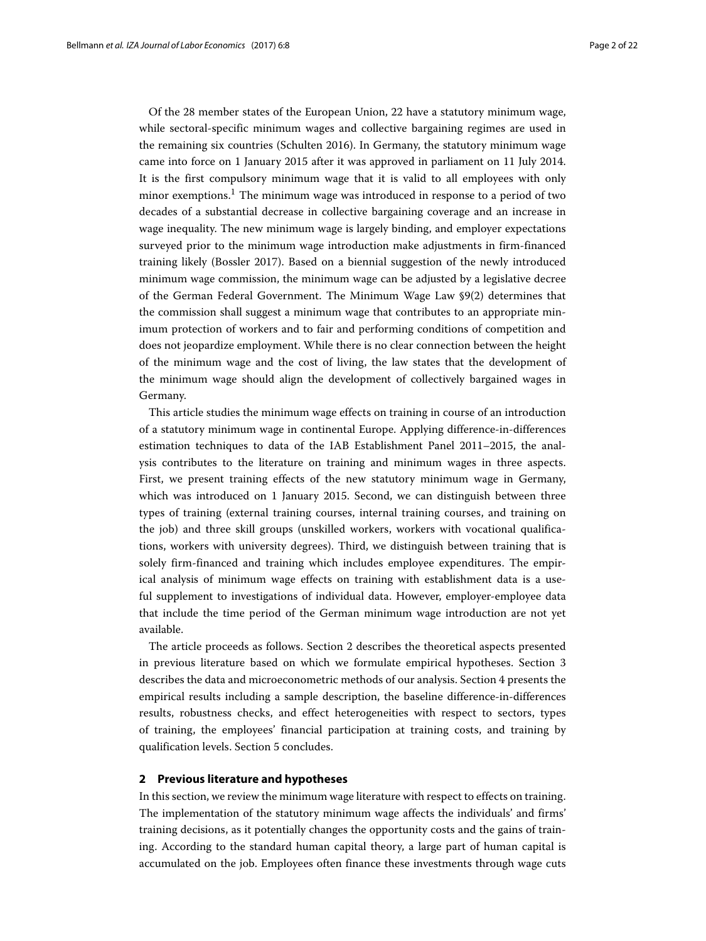Of the 28 member states of the European Union, 22 have a statutory minimum wage, while sectoral-specific minimum wages and collective bargaining regimes are used in the remaining six countries (Schulten [2016\)](#page-21-5). In Germany, the statutory minimum wage came into force on 1 January 2015 after it was approved in parliament on 11 July 2014. It is the first compulsory minimum wage that it is valid to all employees with only minor exemptions.<sup>1</sup> The minimum wage was introduced in response to a period of two decades of a substantial decrease in collective bargaining coverage and an increase in wage inequality. The new minimum wage is largely binding, and employer expectations surveyed prior to the minimum wage introduction make adjustments in firm-financed training likely (Bossler [2017\)](#page-21-6). Based on a biennial suggestion of the newly introduced minimum wage commission, the minimum wage can be adjusted by a legislative decree of the German Federal Government. The Minimum Wage Law §9(2) determines that the commission shall suggest a minimum wage that contributes to an appropriate minimum protection of workers and to fair and performing conditions of competition and does not jeopardize employment. While there is no clear connection between the height of the minimum wage and the cost of living, the law states that the development of the minimum wage should align the development of collectively bargained wages in Germany.

This article studies the minimum wage effects on training in course of an introduction of a statutory minimum wage in continental Europe. Applying difference-in-differences estimation techniques to data of the IAB Establishment Panel 2011–2015, the analysis contributes to the literature on training and minimum wages in three aspects. First, we present training effects of the new statutory minimum wage in Germany, which was introduced on 1 January 2015. Second, we can distinguish between three types of training (external training courses, internal training courses, and training on the job) and three skill groups (unskilled workers, workers with vocational qualifications, workers with university degrees). Third, we distinguish between training that is solely firm-financed and training which includes employee expenditures. The empirical analysis of minimum wage effects on training with establishment data is a useful supplement to investigations of individual data. However, employer-employee data that include the time period of the German minimum wage introduction are not yet available.

The article proceeds as follows. Section [2](#page-1-0) describes the theoretical aspects presented in previous literature based on which we formulate empirical hypotheses. Section [3](#page-4-0) describes the data and microeconometric methods of our analysis. Section [4](#page-6-0) presents the empirical results including a sample description, the baseline difference-in-differences results, robustness checks, and effect heterogeneities with respect to sectors, types of training, the employees' financial participation at training costs, and training by qualification levels. Section [5](#page-18-0) concludes.

#### <span id="page-1-0"></span>**2 Previous literature and hypotheses**

In this section, we review the minimum wage literature with respect to effects on training. The implementation of the statutory minimum wage affects the individuals' and firms' training decisions, as it potentially changes the opportunity costs and the gains of training. According to the standard human capital theory, a large part of human capital is accumulated on the job. Employees often finance these investments through wage cuts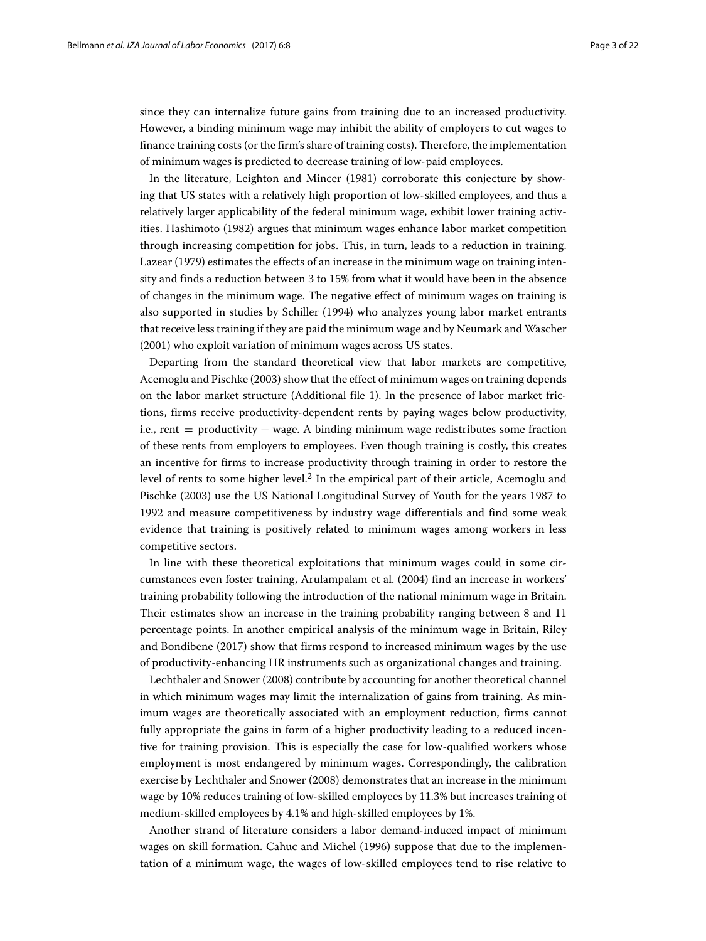since they can internalize future gains from training due to an increased productivity. However, a binding minimum wage may inhibit the ability of employers to cut wages to finance training costs (or the firm's share of training costs). Therefore, the implementation of minimum wages is predicted to decrease training of low-paid employees.

In the literature, Leighton and Mincer [\(1981\)](#page-21-7) corroborate this conjecture by showing that US states with a relatively high proportion of low-skilled employees, and thus a relatively larger applicability of the federal minimum wage, exhibit lower training activities. Hashimoto [\(1982\)](#page-21-8) argues that minimum wages enhance labor market competition through increasing competition for jobs. This, in turn, leads to a reduction in training. Lazear [\(1979\)](#page-21-9) estimates the effects of an increase in the minimum wage on training intensity and finds a reduction between 3 to 15% from what it would have been in the absence of changes in the minimum wage. The negative effect of minimum wages on training is also supported in studies by Schiller [\(1994\)](#page-21-10) who analyzes young labor market entrants that receive less training if they are paid the minimum wage and by Neumark and Wascher [\(2001\)](#page-21-11) who exploit variation of minimum wages across US states.

Departing from the standard theoretical view that labor markets are competitive, Acemoglu and Pischke [\(2003\)](#page-21-12) show that the effect of minimum wages on training depends on the labor market structure (Additional file [1\)](#page-20-0). In the presence of labor market frictions, firms receive productivity-dependent rents by paying wages below productivity, i.e., rent = productivity – wage. A binding minimum wage redistributes some fraction of these rents from employers to employees. Even though training is costly, this creates an incentive for firms to increase productivity through training in order to restore the level of rents to some higher level.<sup>2</sup> In the empirical part of their article, Acemoglu and Pischke [\(2003\)](#page-21-12) use the US National Longitudinal Survey of Youth for the years 1987 to 1992 and measure competitiveness by industry wage differentials and find some weak evidence that training is positively related to minimum wages among workers in less competitive sectors.

In line with these theoretical exploitations that minimum wages could in some circumstances even foster training, Arulampalam et al. [\(2004\)](#page-21-13) find an increase in workers' training probability following the introduction of the national minimum wage in Britain. Their estimates show an increase in the training probability ranging between 8 and 11 percentage points. In another empirical analysis of the minimum wage in Britain, Riley and Bondibene [\(2017\)](#page-21-14) show that firms respond to increased minimum wages by the use of productivity-enhancing HR instruments such as organizational changes and training.

Lechthaler and Snower [\(2008\)](#page-21-15) contribute by accounting for another theoretical channel in which minimum wages may limit the internalization of gains from training. As minimum wages are theoretically associated with an employment reduction, firms cannot fully appropriate the gains in form of a higher productivity leading to a reduced incentive for training provision. This is especially the case for low-qualified workers whose employment is most endangered by minimum wages. Correspondingly, the calibration exercise by Lechthaler and Snower [\(2008\)](#page-21-15) demonstrates that an increase in the minimum wage by 10% reduces training of low-skilled employees by 11.3% but increases training of medium-skilled employees by 4.1% and high-skilled employees by 1%.

Another strand of literature considers a labor demand-induced impact of minimum wages on skill formation. Cahuc and Michel [\(1996\)](#page-21-16) suppose that due to the implementation of a minimum wage, the wages of low-skilled employees tend to rise relative to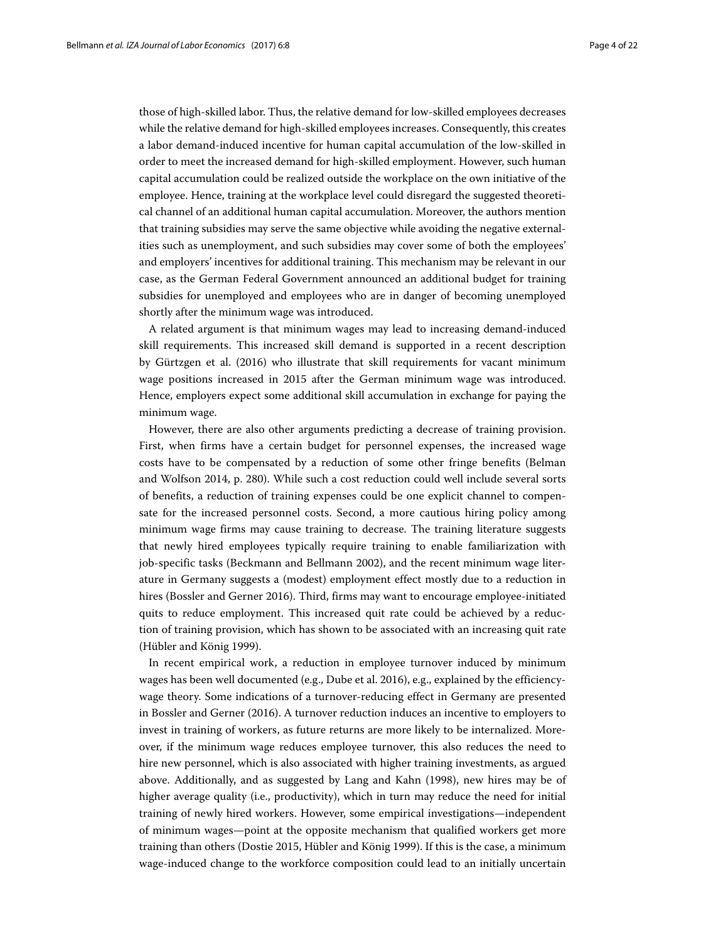those of high-skilled labor. Thus, the relative demand for low-skilled employees decreases while the relative demand for high-skilled employees increases. Consequently, this creates a labor demand-induced incentive for human capital accumulation of the low-skilled in order to meet the increased demand for high-skilled employment. However, such human capital accumulation could be realized outside the workplace on the own initiative of the employee. Hence, training at the workplace level could disregard the suggested theoretical channel of an additional human capital accumulation. Moreover, the authors mention that training subsidies may serve the same objective while avoiding the negative externalities such as unemployment, and such subsidies may cover some of both the employees' and employers' incentives for additional training. This mechanism may be relevant in our case, as the German Federal Government announced an additional budget for training subsidies for unemployed and employees who are in danger of becoming unemployed shortly after the minimum wage was introduced.

A related argument is that minimum wages may lead to increasing demand-induced skill requirements. This increased skill demand is supported in a recent description by Gürtzgen et al. [\(2016\)](#page-21-17) who illustrate that skill requirements for vacant minimum wage positions increased in 2015 after the German minimum wage was introduced. Hence, employers expect some additional skill accumulation in exchange for paying the minimum wage.

However, there are also other arguments predicting a decrease of training provision. First, when firms have a certain budget for personnel expenses, the increased wage costs have to be compensated by a reduction of some other fringe benefits (Belman and Wolfson [2014,](#page-21-18) p. 280). While such a cost reduction could well include several sorts of benefits, a reduction of training expenses could be one explicit channel to compensate for the increased personnel costs. Second, a more cautious hiring policy among minimum wage firms may cause training to decrease. The training literature suggests that newly hired employees typically require training to enable familiarization with job-specific tasks (Beckmann and Bellmann [2002\)](#page-21-19), and the recent minimum wage literature in Germany suggests a (modest) employment effect mostly due to a reduction in hires (Bossler and Gerner [2016\)](#page-21-3). Third, firms may want to encourage employee-initiated quits to reduce employment. This increased quit rate could be achieved by a reduction of training provision, which has shown to be associated with an increasing quit rate (Hübler and König [1999\)](#page-21-20).

In recent empirical work, a reduction in employee turnover induced by minimum wages has been well documented (e.g., Dube et al. [2016\)](#page-21-21), e.g., explained by the efficiencywage theory. Some indications of a turnover-reducing effect in Germany are presented in Bossler and Gerner [\(2016\)](#page-21-3). A turnover reduction induces an incentive to employers to invest in training of workers, as future returns are more likely to be internalized. Moreover, if the minimum wage reduces employee turnover, this also reduces the need to hire new personnel, which is also associated with higher training investments, as argued above. Additionally, and as suggested by Lang and Kahn [\(1998\)](#page-21-22), new hires may be of higher average quality (i.e., productivity), which in turn may reduce the need for initial training of newly hired workers. However, some empirical investigations—independent of minimum wages—point at the opposite mechanism that qualified workers get more training than others (Dostie [2015,](#page-21-23) Hübler and König [1999\)](#page-21-20). If this is the case, a minimum wage-induced change to the workforce composition could lead to an initially uncertain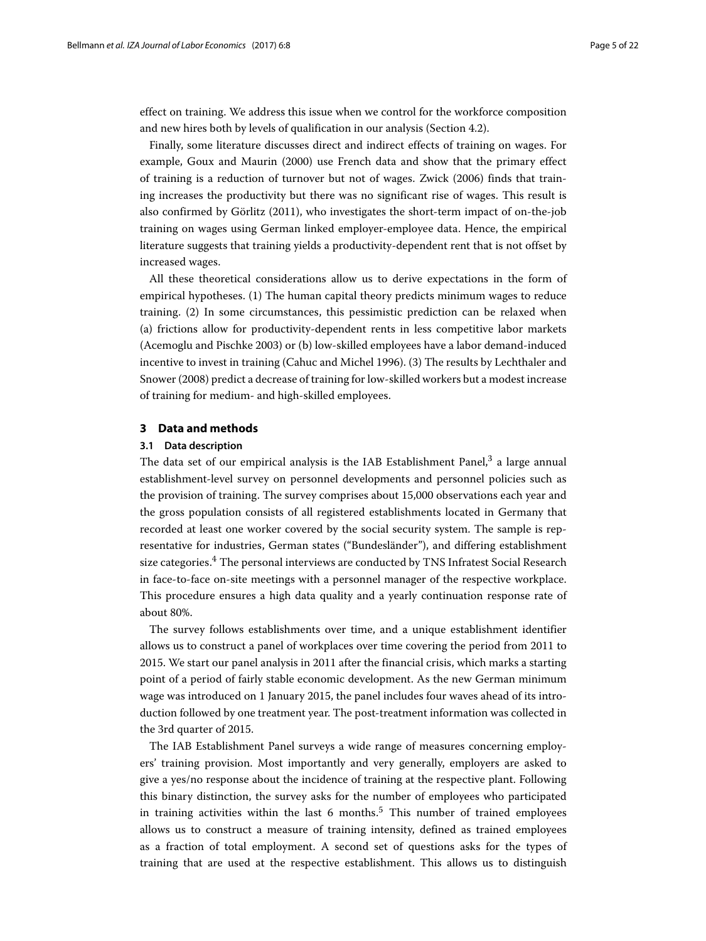effect on training. We address this issue when we control for the workforce composition and new hires both by levels of qualification in our analysis (Section [4.2\)](#page-9-0).

Finally, some literature discusses direct and indirect effects of training on wages. For example, Goux and Maurin [\(2000\)](#page-21-24) use French data and show that the primary effect of training is a reduction of turnover but not of wages. Zwick [\(2006\)](#page-21-25) finds that training increases the productivity but there was no significant rise of wages. This result is also confirmed by Görlitz [\(2011\)](#page-21-26), who investigates the short-term impact of on-the-job training on wages using German linked employer-employee data. Hence, the empirical literature suggests that training yields a productivity-dependent rent that is not offset by increased wages.

All these theoretical considerations allow us to derive expectations in the form of empirical hypotheses. (1) The human capital theory predicts minimum wages to reduce training. (2) In some circumstances, this pessimistic prediction can be relaxed when (a) frictions allow for productivity-dependent rents in less competitive labor markets (Acemoglu and Pischke [2003\)](#page-21-12) or (b) low-skilled employees have a labor demand-induced incentive to invest in training (Cahuc and Michel [1996\)](#page-21-16). (3) The results by Lechthaler and Snower [\(2008\)](#page-21-15) predict a decrease of training for low-skilled workers but a modest increase of training for medium- and high-skilled employees.

#### <span id="page-4-0"></span>**3 Data and methods**

#### **3.1 Data description**

The data set of our empirical analysis is the IAB Establishment Panel, $3$  a large annual establishment-level survey on personnel developments and personnel policies such as the provision of training. The survey comprises about 15,000 observations each year and the gross population consists of all registered establishments located in Germany that recorded at least one worker covered by the social security system. The sample is representative for industries, German states ("Bundesländer"), and differing establishment size categories.<sup>4</sup> The personal interviews are conducted by TNS Infratest Social Research in face-to-face on-site meetings with a personnel manager of the respective workplace. This procedure ensures a high data quality and a yearly continuation response rate of about 80%.

The survey follows establishments over time, and a unique establishment identifier allows us to construct a panel of workplaces over time covering the period from 2011 to 2015. We start our panel analysis in 2011 after the financial crisis, which marks a starting point of a period of fairly stable economic development. As the new German minimum wage was introduced on 1 January 2015, the panel includes four waves ahead of its introduction followed by one treatment year. The post-treatment information was collected in the 3rd quarter of 2015.

The IAB Establishment Panel surveys a wide range of measures concerning employers' training provision. Most importantly and very generally, employers are asked to give a yes/no response about the incidence of training at the respective plant. Following this binary distinction, the survey asks for the number of employees who participated in training activities within the last  $6$  months.<sup>5</sup> This number of trained employees allows us to construct a measure of training intensity, defined as trained employees as a fraction of total employment. A second set of questions asks for the types of training that are used at the respective establishment. This allows us to distinguish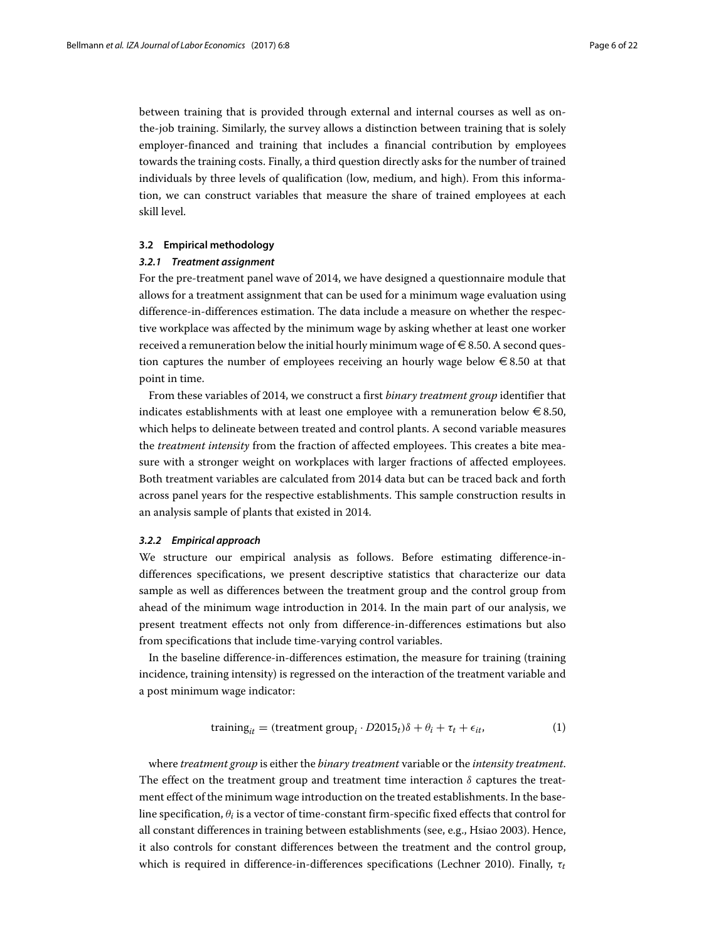between training that is provided through external and internal courses as well as onthe-job training. Similarly, the survey allows a distinction between training that is solely employer-financed and training that includes a financial contribution by employees towards the training costs. Finally, a third question directly asks for the number of trained individuals by three levels of qualification (low, medium, and high). From this information, we can construct variables that measure the share of trained employees at each skill level.

#### **3.2 Empirical methodology**

#### *3.2.1 Treatment assignment*

For the pre-treatment panel wave of 2014, we have designed a questionnaire module that allows for a treatment assignment that can be used for a minimum wage evaluation using difference-in-differences estimation. The data include a measure on whether the respective workplace was affected by the minimum wage by asking whether at least one worker received a remuneration below the initial hourly minimum wage of  $\in$  8.50. A second question captures the number of employees receiving an hourly wage below  $\epsilon \leq 8.50$  at that point in time.

From these variables of 2014, we construct a first *binary treatment group* identifier that indicates establishments with at least one employee with a remuneration below  $\in$  8.50, which helps to delineate between treated and control plants. A second variable measures the *treatment intensity* from the fraction of affected employees. This creates a bite measure with a stronger weight on workplaces with larger fractions of affected employees. Both treatment variables are calculated from 2014 data but can be traced back and forth across panel years for the respective establishments. This sample construction results in an analysis sample of plants that existed in 2014.

#### *3.2.2 Empirical approach*

We structure our empirical analysis as follows. Before estimating difference-indifferences specifications, we present descriptive statistics that characterize our data sample as well as differences between the treatment group and the control group from ahead of the minimum wage introduction in 2014. In the main part of our analysis, we present treatment effects not only from difference-in-differences estimations but also from specifications that include time-varying control variables.

In the baseline difference-in-differences estimation, the measure for training (training incidence, training intensity) is regressed on the interaction of the treatment variable and a post minimum wage indicator:

$$
training_{it} = (treatment group_i \cdot D2015_t)\delta + \theta_i + \tau_t + \epsilon_{it},
$$
\n(1)

where *treatment group* is either the *binary treatment* variable or the *intensity treatment*. The effect on the treatment group and treatment time interaction  $\delta$  captures the treatment effect of the minimum wage introduction on the treated establishments. In the baseline specification, θ*<sup>i</sup>* is a vector of time-constant firm-specific fixed effects that control for all constant differences in training between establishments (see, e.g., Hsiao [2003\)](#page-21-27). Hence, it also controls for constant differences between the treatment and the control group, which is required in difference-in-differences specifications (Lechner [2010\)](#page-21-28). Finally, τ*<sup>t</sup>*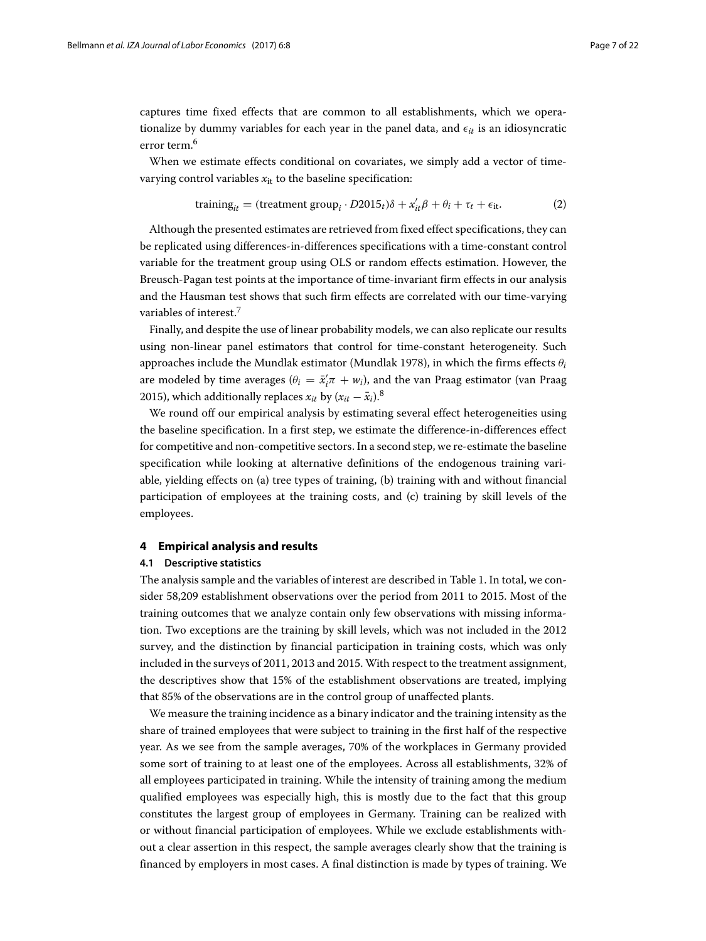captures time fixed effects that are common to all establishments, which we operationalize by dummy variables for each year in the panel data, and  $\epsilon_{it}$  is an idiosyncratic error term.<sup>6</sup>

When we estimate effects conditional on covariates, we simply add a vector of timevarying control variables  $x_{it}$  to the baseline specification:

training<sub>it</sub> = (treatment group<sub>i</sub> · D2015<sub>t</sub>)
$$
\delta + x'_{it}\beta + \theta_i + \tau_t + \epsilon_{it}
$$
. (2)

Although the presented estimates are retrieved from fixed effect specifications, they can be replicated using differences-in-differences specifications with a time-constant control variable for the treatment group using OLS or random effects estimation. However, the Breusch-Pagan test points at the importance of time-invariant firm effects in our analysis and the Hausman test shows that such firm effects are correlated with our time-varying variables of interest.<sup>7</sup>

Finally, and despite the use of linear probability models, we can also replicate our results using non-linear panel estimators that control for time-constant heterogeneity. Such approaches include the Mundlak estimator (Mundlak [1978\)](#page-21-29), in which the firms effects θ*<sup>i</sup>* are modeled by time averages  $(\theta_i = \bar{x}'_i \pi + w_i)$ , and the van Praag estimator (van Praag [2015\)](#page-21-30), which additionally replaces  $x_{it}$  by  $(x_{it} - \bar{x}_i)^8$ .

We round off our empirical analysis by estimating several effect heterogeneities using the baseline specification. In a first step, we estimate the difference-in-differences effect for competitive and non-competitive sectors. In a second step, we re-estimate the baseline specification while looking at alternative definitions of the endogenous training variable, yielding effects on (a) tree types of training, (b) training with and without financial participation of employees at the training costs, and (c) training by skill levels of the employees.

#### <span id="page-6-0"></span>**4 Empirical analysis and results**

#### **4.1 Descriptive statistics**

The analysis sample and the variables of interest are described in Table [1.](#page-7-0) In total, we consider 58,209 establishment observations over the period from 2011 to 2015. Most of the training outcomes that we analyze contain only few observations with missing information. Two exceptions are the training by skill levels, which was not included in the 2012 survey, and the distinction by financial participation in training costs, which was only included in the surveys of 2011, 2013 and 2015. With respect to the treatment assignment, the descriptives show that 15% of the establishment observations are treated, implying that 85% of the observations are in the control group of unaffected plants.

We measure the training incidence as a binary indicator and the training intensity as the share of trained employees that were subject to training in the first half of the respective year. As we see from the sample averages, 70% of the workplaces in Germany provided some sort of training to at least one of the employees. Across all establishments, 32% of all employees participated in training. While the intensity of training among the medium qualified employees was especially high, this is mostly due to the fact that this group constitutes the largest group of employees in Germany. Training can be realized with or without financial participation of employees. While we exclude establishments without a clear assertion in this respect, the sample averages clearly show that the training is financed by employers in most cases. A final distinction is made by types of training. We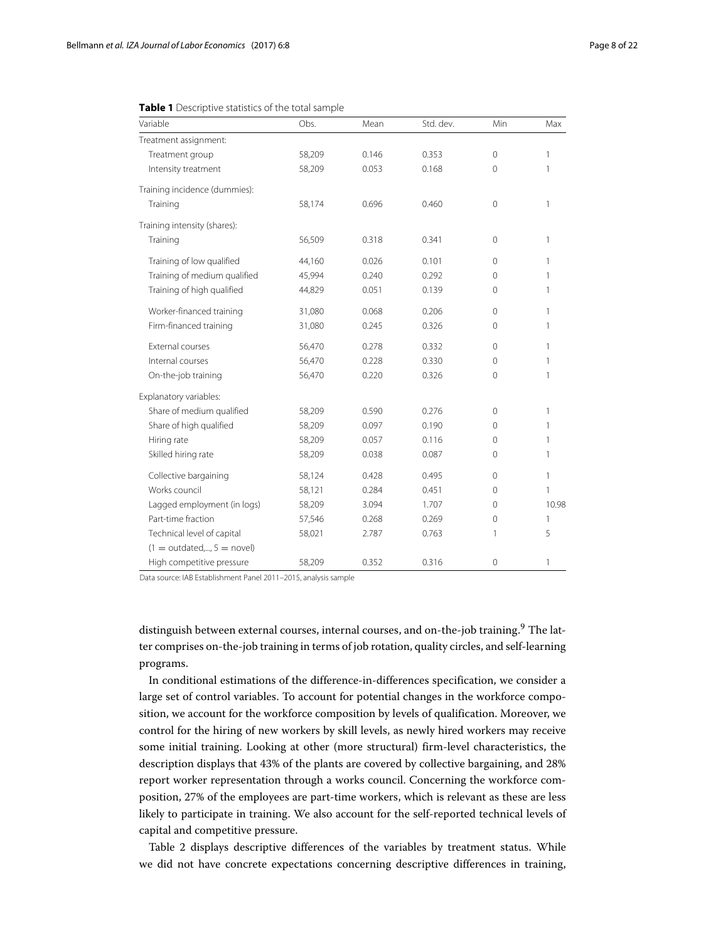<span id="page-7-0"></span>

| Variable                                  | Obs.   | Mean  | Std. dev. | Min            | Max   |
|-------------------------------------------|--------|-------|-----------|----------------|-------|
| Treatment assignment:                     |        |       |           |                |       |
| Treatment group                           | 58,209 | 0.146 | 0.353     | $\mathbf 0$    | 1     |
| Intensity treatment                       | 58,209 | 0.053 | 0.168     | 0              | 1     |
| Training incidence (dummies):             |        |       |           |                |       |
| Training                                  | 58,174 | 0.696 | 0.460     | $\overline{0}$ | 1     |
| Training intensity (shares):              |        |       |           |                |       |
| Training                                  | 56,509 | 0.318 | 0.341     | $\mathbf 0$    | 1     |
| Training of low qualified                 | 44,160 | 0.026 | 0.101     | $\overline{0}$ | 1     |
| Training of medium qualified              | 45,994 | 0.240 | 0.292     | 0              | 1     |
| Training of high qualified                | 44,829 | 0.051 | 0.139     | 0              | 1     |
| Worker-financed training                  | 31,080 | 0.068 | 0.206     | $\mathbf 0$    | 1     |
| Firm-financed training                    | 31,080 | 0.245 | 0.326     | $\mathbf 0$    | 1     |
| External courses                          | 56,470 | 0.278 | 0.332     | $\mathbf 0$    | 1     |
| Internal courses                          | 56,470 | 0.228 | 0.330     | $\overline{0}$ | 1     |
| On-the-job training                       | 56,470 | 0.220 | 0.326     | $\mathbf 0$    | 1     |
| Explanatory variables:                    |        |       |           |                |       |
| Share of medium qualified                 | 58,209 | 0.590 | 0.276     | 0              | 1     |
| Share of high qualified                   | 58,209 | 0.097 | 0.190     | $\mathbf 0$    | 1     |
| Hiring rate                               | 58,209 | 0.057 | 0.116     | $\mathbf 0$    | 1     |
| Skilled hiring rate                       | 58,209 | 0.038 | 0.087     | 0              | 1     |
| Collective bargaining                     | 58,124 | 0.428 | 0.495     | 0              | 1     |
| Works council                             | 58,121 | 0.284 | 0.451     | $\mathbf 0$    | 1     |
| Lagged employment (in logs)               | 58,209 | 3.094 | 1.707     | $\mathbf 0$    | 10.98 |
| Part-time fraction                        | 57,546 | 0.268 | 0.269     | $\mathbf 0$    | 1     |
| Technical level of capital                | 58,021 | 2.787 | 0.763     | 1              | 5     |
| $(1 = \text{outdated}, 5 = \text{novel})$ |        |       |           |                |       |
| High competitive pressure                 | 58,209 | 0.352 | 0.316     | $\mathbf 0$    | 1     |

#### **Table 1** Descriptive statistics of the total sample

Data source: IAB Establishment Panel 2011–2015, analysis sample

distinguish between external courses, internal courses, and on-the-job training.<sup>9</sup> The latter comprises on-the-job training in terms of job rotation, quality circles, and self-learning programs.

In conditional estimations of the difference-in-differences specification, we consider a large set of control variables. To account for potential changes in the workforce composition, we account for the workforce composition by levels of qualification. Moreover, we control for the hiring of new workers by skill levels, as newly hired workers may receive some initial training. Looking at other (more structural) firm-level characteristics, the description displays that 43% of the plants are covered by collective bargaining, and 28% report worker representation through a works council. Concerning the workforce composition, 27% of the employees are part-time workers, which is relevant as these are less likely to participate in training. We also account for the self-reported technical levels of capital and competitive pressure.

Table [2](#page-8-0) displays descriptive differences of the variables by treatment status. While we did not have concrete expectations concerning descriptive differences in training,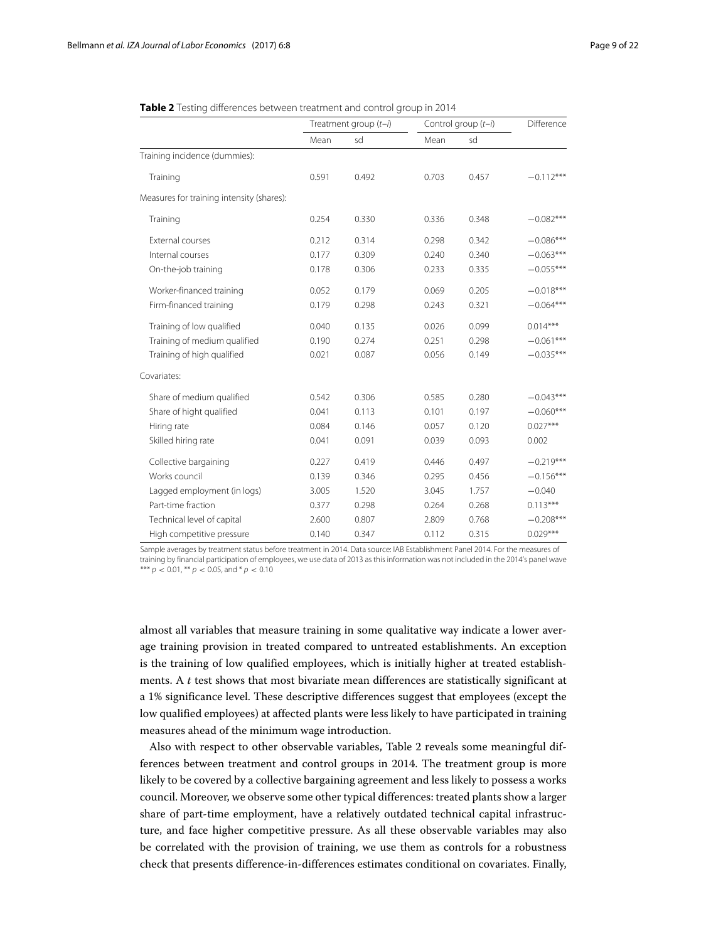<span id="page-8-0"></span>

|                                           | Treatment group $(t-i)$ |       | Control group $(t-i)$ | Difference |             |
|-------------------------------------------|-------------------------|-------|-----------------------|------------|-------------|
|                                           | Mean                    | sd    | Mean                  | sd         |             |
| Training incidence (dummies):             |                         |       |                       |            |             |
| Training                                  | 0.591                   | 0.492 | 0.703                 | 0.457      | $-0.112***$ |
| Measures for training intensity (shares): |                         |       |                       |            |             |
| Training                                  | 0.254                   | 0.330 | 0.336                 | 0.348      | $-0.082***$ |
| External courses                          | 0.212                   | 0.314 | 0.298                 | 0.342      | $-0.086***$ |
| Internal courses                          | 0.177                   | 0.309 | 0.240                 | 0.340      | $-0.063***$ |
| On-the-job training                       | 0.178                   | 0.306 | 0.233                 | 0.335      | $-0.055***$ |
| Worker-financed training                  | 0.052                   | 0.179 | 0.069                 | 0.205      | $-0.018***$ |
| Firm-financed training                    | 0.179                   | 0.298 | 0.243                 | 0.321      | $-0.064***$ |
| Training of low qualified                 | 0.040                   | 0.135 | 0.026                 | 0.099      | $0.014***$  |
| Training of medium qualified              | 0.190                   | 0.274 | 0.251                 | 0.298      | $-0.061***$ |
| Training of high qualified                | 0.021                   | 0.087 | 0.056                 | 0.149      | $-0.035***$ |
| Covariates:                               |                         |       |                       |            |             |
| Share of medium qualified                 | 0.542                   | 0.306 | 0.585                 | 0.280      | $-0.043***$ |
| Share of hight qualified                  | 0.041                   | 0.113 | 0.101                 | 0.197      | $-0.060***$ |
| Hiring rate                               | 0.084                   | 0.146 | 0.057                 | 0.120      | $0.027***$  |
| Skilled hiring rate                       | 0.041                   | 0.091 | 0.039                 | 0.093      | 0.002       |
| Collective bargaining                     | 0.227                   | 0.419 | 0.446                 | 0.497      | $-0.219***$ |
| Works council                             | 0.139                   | 0.346 | 0.295                 | 0.456      | $-0.156***$ |
| Lagged employment (in logs)               | 3.005                   | 1.520 | 3.045                 | 1.757      | $-0.040$    |
| Part-time fraction                        | 0.377                   | 0.298 | 0.264                 | 0.268      | $0.113***$  |
| Technical level of capital                | 2.600                   | 0.807 | 2.809                 | 0.768      | $-0.208***$ |
| High competitive pressure                 | 0.140                   | 0.347 | 0.112                 | 0.315      | $0.029***$  |

**Table 2** Testing differences between treatment and control group in 2014

Sample averages by treatment status before treatment in 2014. Data source: IAB Establishment Panel 2014. For the measures of training by financial participation of employees, we use data of 2013 as this information was not included in the 2014's panel wave \*\*\*  $p < 0.01$ , \*\*  $p < 0.05$ , and \*  $p < 0.10$ 

almost all variables that measure training in some qualitative way indicate a lower average training provision in treated compared to untreated establishments. An exception is the training of low qualified employees, which is initially higher at treated establishments. A *t* test shows that most bivariate mean differences are statistically significant at a 1% significance level. These descriptive differences suggest that employees (except the low qualified employees) at affected plants were less likely to have participated in training measures ahead of the minimum wage introduction.

Also with respect to other observable variables, Table [2](#page-8-0) reveals some meaningful differences between treatment and control groups in 2014. The treatment group is more likely to be covered by a collective bargaining agreement and less likely to possess a works council. Moreover, we observe some other typical differences: treated plants show a larger share of part-time employment, have a relatively outdated technical capital infrastructure, and face higher competitive pressure. As all these observable variables may also be correlated with the provision of training, we use them as controls for a robustness check that presents difference-in-differences estimates conditional on covariates. Finally,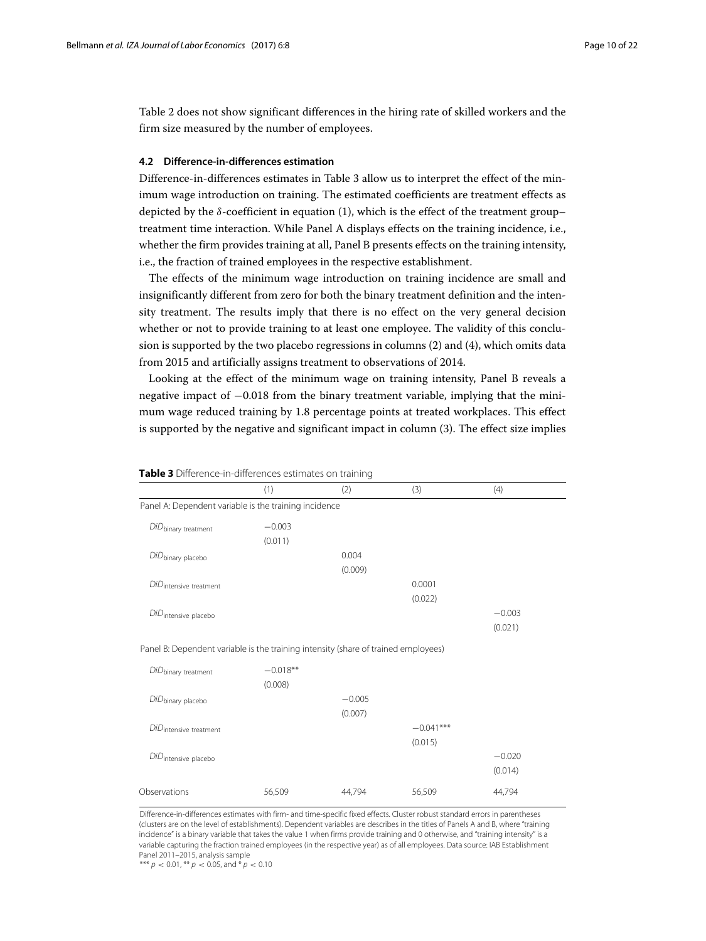Table [2](#page-8-0) does not show significant differences in the hiring rate of skilled workers and the firm size measured by the number of employees.

#### <span id="page-9-0"></span>**4.2 Difference-in-differences estimation**

Difference-in-differences estimates in Table [3](#page-9-1) allow us to interpret the effect of the minimum wage introduction on training. The estimated coefficients are treatment effects as depicted by the  $\delta$ -coefficient in equation (1), which is the effect of the treatment group– treatment time interaction. While Panel A displays effects on the training incidence, i.e., whether the firm provides training at all, Panel B presents effects on the training intensity, i.e., the fraction of trained employees in the respective establishment.

The effects of the minimum wage introduction on training incidence are small and insignificantly different from zero for both the binary treatment definition and the intensity treatment. The results imply that there is no effect on the very general decision whether or not to provide training to at least one employee. The validity of this conclusion is supported by the two placebo regressions in columns (2) and (4), which omits data from 2015 and artificially assigns treatment to observations of 2014.

Looking at the effect of the minimum wage on training intensity, Panel B reveals a negative impact of −0.018 from the binary treatment variable, implying that the minimum wage reduced training by 1.8 percentage points at treated workplaces. This effect is supported by the negative and significant impact in column (3). The effect size implies

|                                                                                    | (1)        | (2)      | (3)         | (4)      |
|------------------------------------------------------------------------------------|------------|----------|-------------|----------|
| Panel A: Dependent variable is the training incidence                              |            |          |             |          |
| DiD <sub>binary</sub> treatment                                                    | $-0.003$   |          |             |          |
|                                                                                    | (0.011)    |          |             |          |
| DiD <sub>binary</sub> placebo                                                      |            | 0.004    |             |          |
|                                                                                    |            | (0.009)  |             |          |
| DiD <sub>intensive treatment</sub>                                                 |            |          | 0.0001      |          |
|                                                                                    |            |          | (0.022)     |          |
| DiD <sub>intensive</sub> placebo                                                   |            |          |             | $-0.003$ |
|                                                                                    |            |          |             | (0.021)  |
| Panel B: Dependent variable is the training intensity (share of trained employees) |            |          |             |          |
| DiD <sub>binary</sub> treatment                                                    | $-0.018**$ |          |             |          |
|                                                                                    | (0.008)    |          |             |          |
| DiD <sub>binary</sub> placebo                                                      |            | $-0.005$ |             |          |
|                                                                                    |            | (0.007)  |             |          |
| DiD <sub>intensive treatment</sub>                                                 |            |          | $-0.041***$ |          |
|                                                                                    |            |          | (0.015)     |          |
| DiD <sub>intensive</sub> placebo                                                   |            |          |             | $-0.020$ |
|                                                                                    |            |          |             | (0.014)  |
| Observations                                                                       | 56,509     | 44,794   | 56,509      | 44,794   |

<span id="page-9-1"></span>**Table 3** Difference-in-differences estimates on training

Difference-in-differences estimates with firm- and time-specific fixed effects. Cluster robust standard errors in parentheses (clusters are on the level of establishments). Dependent variables are describes in the titles of Panels A and B, where "training incidence" is a binary variable that takes the value 1 when firms provide training and 0 otherwise, and "training intensity" is a variable capturing the fraction trained employees (in the respective year) as of all employees. Data source: IAB Establishment Panel 2011–2015, analysis sample

\*\*\*  $p < 0.01$ , \*\*  $p < 0.05$ , and \*  $p < 0.10$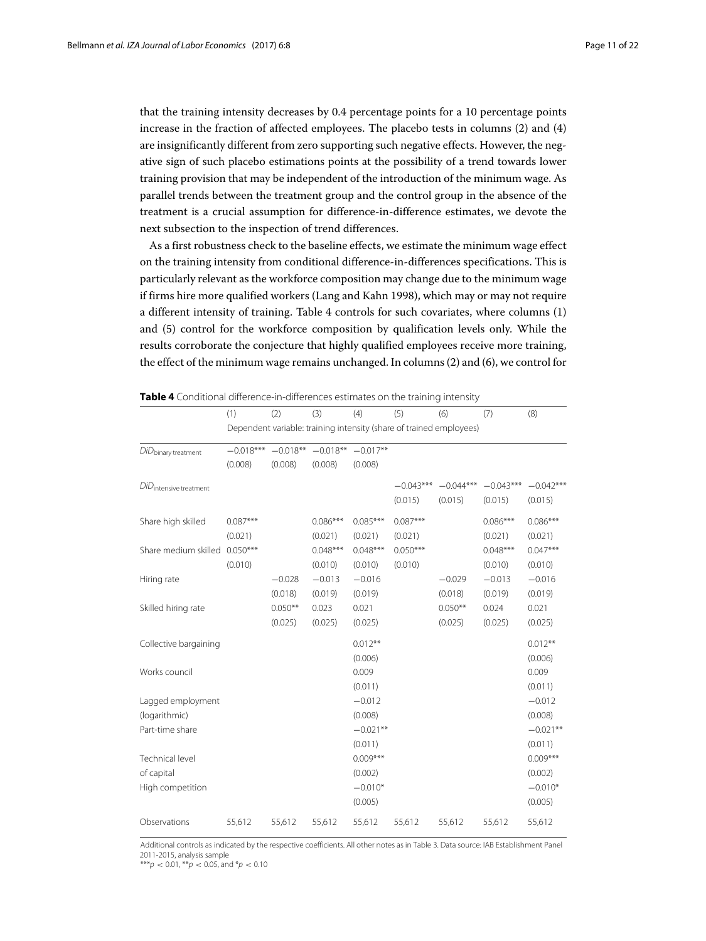that the training intensity decreases by 0.4 percentage points for a 10 percentage points increase in the fraction of affected employees. The placebo tests in columns (2) and (4) are insignificantly different from zero supporting such negative effects. However, the negative sign of such placebo estimations points at the possibility of a trend towards lower training provision that may be independent of the introduction of the minimum wage. As parallel trends between the treatment group and the control group in the absence of the treatment is a crucial assumption for difference-in-difference estimates, we devote the next subsection to the inspection of trend differences.

As a first robustness check to the baseline effects, we estimate the minimum wage effect on the training intensity from conditional difference-in-differences specifications. This is particularly relevant as the workforce composition may change due to the minimum wage if firms hire more qualified workers (Lang and Kahn [1998\)](#page-21-22), which may or may not require a different intensity of training. Table [4](#page-10-0) controls for such covariates, where columns (1) and (5) control for the workforce composition by qualification levels only. While the results corroborate the conjecture that highly qualified employees receive more training, the effect of the minimum wage remains unchanged. In columns (2) and (6), we control for

<span id="page-10-0"></span>

| <b>Table 4</b> Conditional difference-in-differences estimates on the training intensity |  |  |
|------------------------------------------------------------------------------------------|--|--|
|                                                                                          |  |  |

|                                                   | (1)                    | (2)                  | (3)                               | (4)                                                      | (5)                                                                 | (6)                    | (7)                    | (8)                                                      |
|---------------------------------------------------|------------------------|----------------------|-----------------------------------|----------------------------------------------------------|---------------------------------------------------------------------|------------------------|------------------------|----------------------------------------------------------|
|                                                   |                        |                      |                                   |                                                          | Dependent variable: training intensity (share of trained employees) |                        |                        |                                                          |
| DiD <sub>binary</sub> treatment                   | $-0.018***$<br>(0.008) | (0.008)              | $-0.018***$ $-0.018**$<br>(0.008) | $-0.017**$<br>(0.008)                                    |                                                                     |                        |                        |                                                          |
| DiD <sub>intensive treatment</sub>                |                        |                      |                                   |                                                          | $-0.043***$<br>(0.015)                                              | $-0.044***$<br>(0.015) | $-0.043***$<br>(0.015) | $-0.042***$<br>(0.015)                                   |
| Share high skilled                                | $0.087***$<br>(0.021)  |                      | $0.086***$<br>(0.021)             | $0.085***$<br>(0.021)                                    | $0.087***$<br>(0.021)                                               |                        | $0.086***$<br>(0.021)  | $0.086***$<br>(0.021)                                    |
| Share medium skilled                              | $0.050***$<br>(0.010)  |                      | $0.048***$<br>(0.010)             | $0.048***$<br>(0.010)                                    | $0.050***$<br>(0.010)                                               |                        | $0.048***$<br>(0.010)  | $0.047***$<br>(0.010)                                    |
| Hiring rate                                       |                        | $-0.028$<br>(0.018)  | $-0.013$<br>(0.019)               | $-0.016$<br>(0.019)                                      |                                                                     | $-0.029$<br>(0.018)    | $-0.013$<br>(0.019)    | $-0.016$<br>(0.019)                                      |
| Skilled hiring rate                               |                        | $0.050**$<br>(0.025) | 0.023<br>(0.025)                  | 0.021<br>(0.025)                                         |                                                                     | $0.050**$<br>(0.025)   | 0.024<br>(0.025)       | 0.021<br>(0.025)                                         |
| Collective bargaining                             |                        |                      |                                   | $0.012**$<br>(0.006)                                     |                                                                     |                        |                        | $0.012***$<br>(0.006)                                    |
| Works council                                     |                        |                      |                                   | 0.009<br>(0.011)                                         |                                                                     |                        |                        | 0.009<br>(0.011)                                         |
| Lagged employment                                 |                        |                      |                                   | $-0.012$                                                 |                                                                     |                        |                        | $-0.012$                                                 |
| (logarithmic)                                     |                        |                      |                                   | (0.008)                                                  |                                                                     |                        |                        | (0.008)                                                  |
| Part-time share                                   |                        |                      |                                   | $-0.021**$                                               |                                                                     |                        |                        | $-0.021**$                                               |
| Technical level<br>of capital<br>High competition |                        |                      |                                   | (0.011)<br>$0.009***$<br>(0.002)<br>$-0.010*$<br>(0.005) |                                                                     |                        |                        | (0.011)<br>$0.009***$<br>(0.002)<br>$-0.010*$<br>(0.005) |
| Observations                                      | 55,612                 | 55,612               | 55,612                            | 55,612                                                   | 55,612                                                              | 55,612                 | 55,612                 | 55,612                                                   |

Additional controls as indicated by the respective coefficients. All other notes as in Table [3.](#page-9-1) Data source: IAB Establishment Panel 2011-2015, analysis sample

\*\*\* $p < 0.01$ , \*\* $p < 0.05$ , and \* $p < 0.10$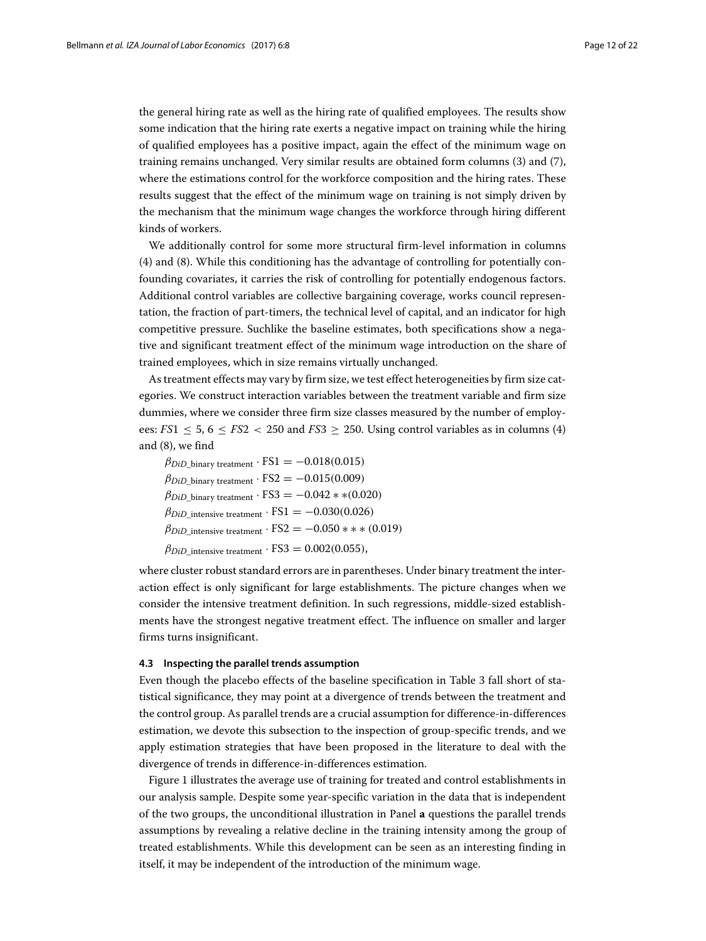the general hiring rate as well as the hiring rate of qualified employees. The results show some indication that the hiring rate exerts a negative impact on training while the hiring of qualified employees has a positive impact, again the effect of the minimum wage on training remains unchanged. Very similar results are obtained form columns (3) and (7), where the estimations control for the workforce composition and the hiring rates. These results suggest that the effect of the minimum wage on training is not simply driven by the mechanism that the minimum wage changes the workforce through hiring different kinds of workers.

We additionally control for some more structural firm-level information in columns (4) and (8). While this conditioning has the advantage of controlling for potentially confounding covariates, it carries the risk of controlling for potentially endogenous factors. Additional control variables are collective bargaining coverage, works council representation, the fraction of part-timers, the technical level of capital, and an indicator for high competitive pressure. Suchlike the baseline estimates, both specifications show a negative and significant treatment effect of the minimum wage introduction on the share of trained employees, which in size remains virtually unchanged.

As treatment effects may vary by firm size, we test effect heterogeneities by firm size categories. We construct interaction variables between the treatment variable and firm size dummies, where we consider three firm size classes measured by the number of employees:  $FS1 < 5$ ,  $6 < FS2 < 250$  and  $FS3 > 250$ . Using control variables as in columns (4) and (8), we find

 $\beta_{DiD}$  binary treatment · FS1 =  $-0.018(0.015)$  $\beta_{DiD}$  binary treatment · FS2 =  $-0.015(0.009)$  $\beta_{DiD}$  binary treatment · FS3 =  $-0.042$   $*$   $*(0.020)$  $\beta_{DiD}$  intensive treatment · FS1 =  $-0.030(0.026)$  $\beta_{DiD}$  intensive treatment · FS2 =  $-0.050$  \* \* \* (0.019)  $\beta$ *DiD*\_intensive treatment  $\cdot$  FS3 = 0.002(0.055),

where cluster robust standard errors are in parentheses. Under binary treatment the interaction effect is only significant for large establishments. The picture changes when we consider the intensive treatment definition. In such regressions, middle-sized establishments have the strongest negative treatment effect. The influence on smaller and larger firms turns insignificant.

#### **4.3 Inspecting the parallel trends assumption**

Even though the placebo effects of the baseline specification in Table [3](#page-9-1) fall short of statistical significance, they may point at a divergence of trends between the treatment and the control group. As parallel trends are a crucial assumption for difference-in-differences estimation, we devote this subsection to the inspection of group-specific trends, and we apply estimation strategies that have been proposed in the literature to deal with the divergence of trends in difference-in-differences estimation.

Figure [1](#page-12-0) illustrates the average use of training for treated and control establishments in our analysis sample. Despite some year-specific variation in the data that is independent of the two groups, the unconditional illustration in Panel **a** questions the parallel trends assumptions by revealing a relative decline in the training intensity among the group of treated establishments. While this development can be seen as an interesting finding in itself, it may be independent of the introduction of the minimum wage.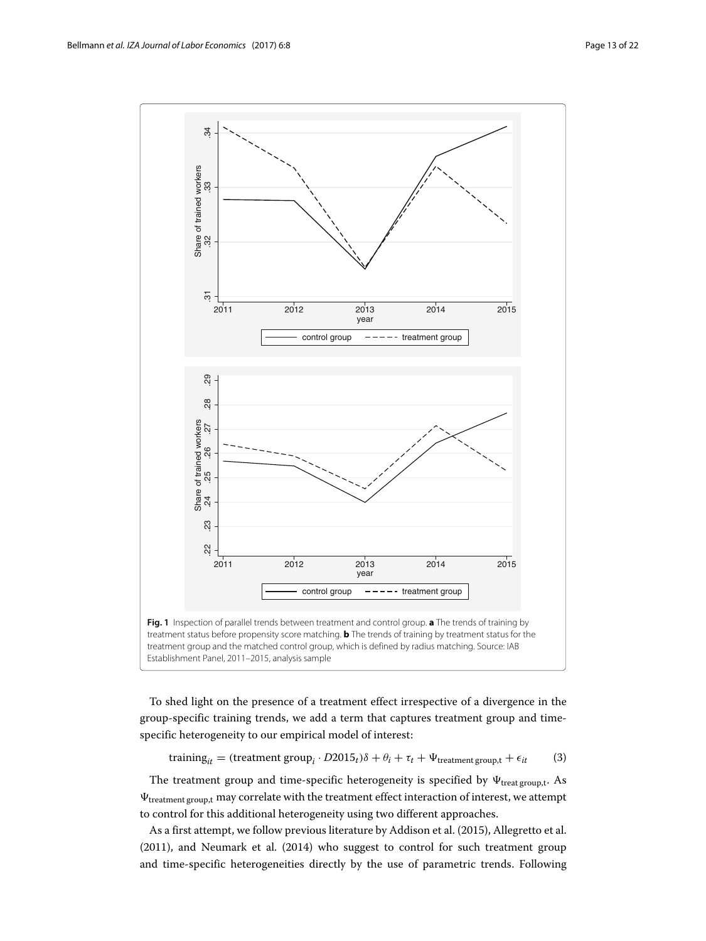

<span id="page-12-0"></span>To shed light on the presence of a treatment effect irrespective of a divergence in the group-specific training trends, we add a term that captures treatment group and timespecific heterogeneity to our empirical model of interest:

<span id="page-12-1"></span>training<sub>it</sub> = (treatment group<sub>i</sub> ·  $D2015<sub>t</sub>$ ) $\delta + \theta_i + \tau_t + \Psi_{\text{treatment group},t} + \epsilon_{it}$  (3)

The treatment group and time-specific heterogeneity is specified by  $\Psi_{\text{treat group,t}}$ . As  $\Psi_{\text{treatment group,t}}$  may correlate with the treatment effect interaction of interest, we attempt to control for this additional heterogeneity using two different approaches.

As a first attempt, we follow previous literature by Addison et al. [\(2015\)](#page-21-31), Allegretto et al. [\(2011\)](#page-21-32), and Neumark et al. [\(2014\)](#page-21-33) who suggest to control for such treatment group and time-specific heterogeneities directly by the use of parametric trends. Following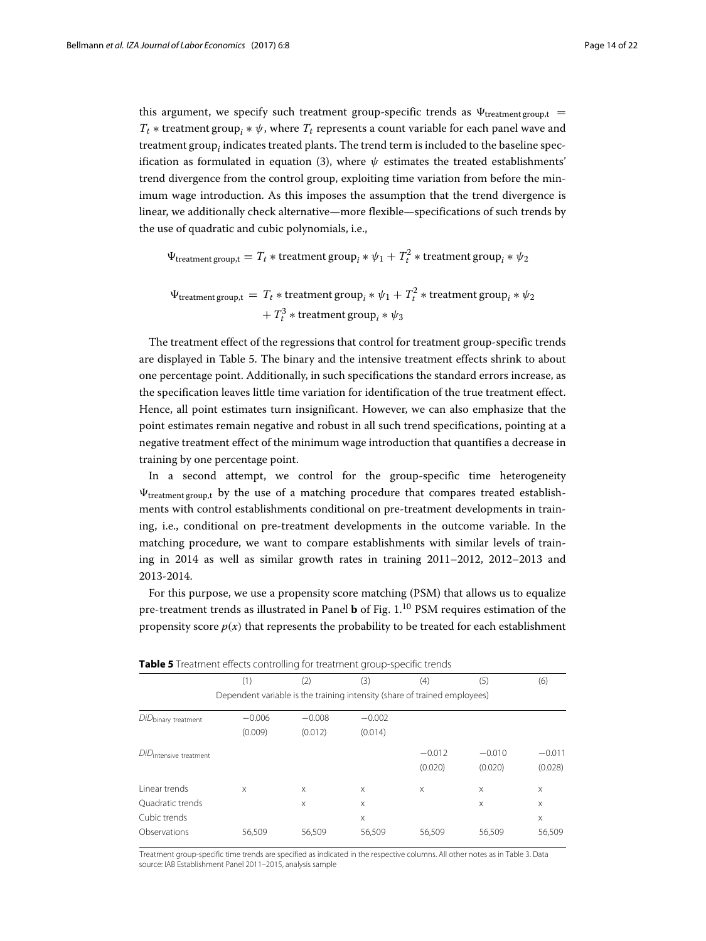this argument, we specify such treatment group-specific trends as  $\Psi_{\text{treatment group,t}}$  =  $T_t$  ∗ treatment group,  $*\psi$ , where  $T_t$  represents a count variable for each panel wave and treatment group*<sup>i</sup>* indicates treated plants. The trend term is included to the baseline spec-ification as formulated in equation [\(3\)](#page-12-1), where  $\psi$  estimates the treated establishments' trend divergence from the control group, exploiting time variation from before the minimum wage introduction. As this imposes the assumption that the trend divergence is linear, we additionally check alternative—more flexible—specifications of such trends by the use of quadratic and cubic polynomials, i.e.,

$$
\Psi_{\text{treatment group},t} = T_t * \text{treatment group}_i * \psi_1 + T_t^2 * \text{treatment group}_i * \psi_2
$$

$$
\Psi_{\text{treatment group,t}} = T_t * \text{treatment group}_i * \psi_1 + T_t^2 * \text{treatment group}_i * \psi_2
$$

$$
+ T_t^3 * \text{treatment group}_i * \psi_3
$$

The treatment effect of the regressions that control for treatment group-specific trends are displayed in Table [5.](#page-13-0) The binary and the intensive treatment effects shrink to about one percentage point. Additionally, in such specifications the standard errors increase, as the specification leaves little time variation for identification of the true treatment effect. Hence, all point estimates turn insignificant. However, we can also emphasize that the point estimates remain negative and robust in all such trend specifications, pointing at a negative treatment effect of the minimum wage introduction that quantifies a decrease in training by one percentage point.

In a second attempt, we control for the group-specific time heterogeneity  $\Psi_{\text{treatment group,t}}$  by the use of a matching procedure that compares treated establishments with control establishments conditional on pre-treatment developments in training, i.e., conditional on pre-treatment developments in the outcome variable. In the matching procedure, we want to compare establishments with similar levels of training in 2014 as well as similar growth rates in training 2011–2012, 2012–2013 and 2013-2014.

For this purpose, we use a propensity score matching (PSM) that allows us to equalize pre-treatment trends as illustrated in Panel **b** of Fig. [1.](#page-12-0)10 PSM requires estimation of the propensity score  $p(x)$  that represents the probability to be treated for each establishment

<span id="page-13-0"></span>

|                                 | (1)                                                                       | (2)      | (3)      | (4)                 | (5)                 | (6)                 |
|---------------------------------|---------------------------------------------------------------------------|----------|----------|---------------------|---------------------|---------------------|
|                                 | Dependent variable is the training intensity (share of trained employees) |          |          |                     |                     |                     |
| DiD <sub>binary</sub> treatment | $-0.006$                                                                  | $-0.008$ | $-0.002$ |                     |                     |                     |
|                                 | (0.009)                                                                   | (0.012)  | (0.014)  |                     |                     |                     |
| DiDintensive treatment          |                                                                           |          |          | $-0.012$<br>(0.020) | $-0.010$<br>(0.020) | $-0.011$<br>(0.028) |
| Linear trends                   | X                                                                         | X        | X        | X                   | X                   | X                   |
| Quadratic trends                |                                                                           | X        | X        |                     | X                   | X                   |
| Cubic trends                    |                                                                           |          | X        |                     |                     | X                   |
| Observations                    | 56,509                                                                    | 56,509   | 56,509   | 56,509              | 56,509              | 56,509              |

**Table 5** Treatment effects controlling for treatment group-specific trends

Treatment group-specific time trends are specified as indicated in the respective columns. All other notes as in Table [3.](#page-9-1) Data source: IAB Establishment Panel 2011–2015, analysis sample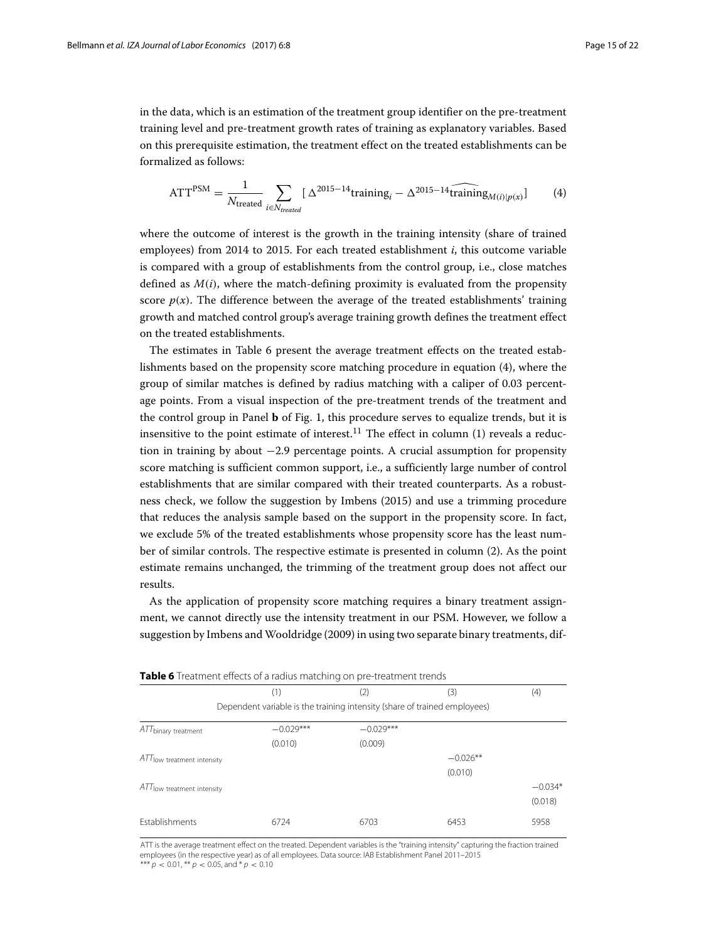in the data, which is an estimation of the treatment group identifier on the pre-treatment training level and pre-treatment growth rates of training as explanatory variables. Based on this prerequisite estimation, the treatment effect on the treated establishments can be formalized as follows:

<span id="page-14-1"></span>
$$
ATT^{PSM} = \frac{1}{N_{treated}} \sum_{i \in N_{treated}} [\Delta^{2015-14} \text{training}_i - \Delta^{2015-14} \widehat{\text{training}}_{M(i)|p(x)}]
$$
(4)

where the outcome of interest is the growth in the training intensity (share of trained employees) from 2014 to 2015. For each treated establishment *i*, this outcome variable is compared with a group of establishments from the control group, i.e., close matches defined as  $M(i)$ , where the match-defining proximity is evaluated from the propensity score  $p(x)$ . The difference between the average of the treated establishments' training growth and matched control group's average training growth defines the treatment effect on the treated establishments.

The estimates in Table [6](#page-14-0) present the average treatment effects on the treated establishments based on the propensity score matching procedure in equation [\(4\)](#page-14-1), where the group of similar matches is defined by radius matching with a caliper of 0.03 percentage points. From a visual inspection of the pre-treatment trends of the treatment and the control group in Panel **b** of Fig. [1,](#page-12-0) this procedure serves to equalize trends, but it is insensitive to the point estimate of interest.<sup>11</sup> The effect in column  $(1)$  reveals a reduction in training by about −2.9 percentage points. A crucial assumption for propensity score matching is sufficient common support, i.e., a sufficiently large number of control establishments that are similar compared with their treated counterparts. As a robustness check, we follow the suggestion by Imbens [\(2015\)](#page-21-34) and use a trimming procedure that reduces the analysis sample based on the support in the propensity score. In fact, we exclude 5% of the treated establishments whose propensity score has the least number of similar controls. The respective estimate is presented in column (2). As the point estimate remains unchanged, the trimming of the treatment group does not affect our results.

As the application of propensity score matching requires a binary treatment assignment, we cannot directly use the intensity treatment in our PSM. However, we follow a suggestion by Imbens and Wooldridge [\(2009\)](#page-21-35) in using two separate binary treatments, dif-

| <b>Table 6</b> Treatment effects of a radius matching on pre-treatment trends |                                                                           |             |            |           |  |  |  |
|-------------------------------------------------------------------------------|---------------------------------------------------------------------------|-------------|------------|-----------|--|--|--|
|                                                                               | J)                                                                        |             | (3)        | (4)       |  |  |  |
|                                                                               | Dependent variable is the training intensity (share of trained employees) |             |            |           |  |  |  |
| $ATT_{\text{binary treatment}}$                                               | $-0.029***$                                                               | $-0.029***$ |            |           |  |  |  |
|                                                                               | (0.010)                                                                   | (0.009)     |            |           |  |  |  |
| $ATT$ low treatment intensity                                                 |                                                                           |             | $-0.026**$ |           |  |  |  |
|                                                                               |                                                                           |             | (0.010)    |           |  |  |  |
| $ATT_{\text{low treatment intensity}}$                                        |                                                                           |             |            | $-0.034*$ |  |  |  |
|                                                                               |                                                                           |             |            | (0.018)   |  |  |  |
| Establishments                                                                | 6724                                                                      | 6703        | 6453       | 5958      |  |  |  |

<span id="page-14-0"></span>

| Table 6 Treatment effects of a radius matching on pre-treatment trend |
|-----------------------------------------------------------------------|
|-----------------------------------------------------------------------|

ATT is the average treatment effect on the treated. Dependent variables is the "training intensity" capturing the fraction trained employees (in the respective year) as of all employees. Data source: IAB Establishment Panel 2011–2015 \*\*\*  $p < 0.01$ , \*\*  $p < 0.05$ , and \*  $p < 0.10$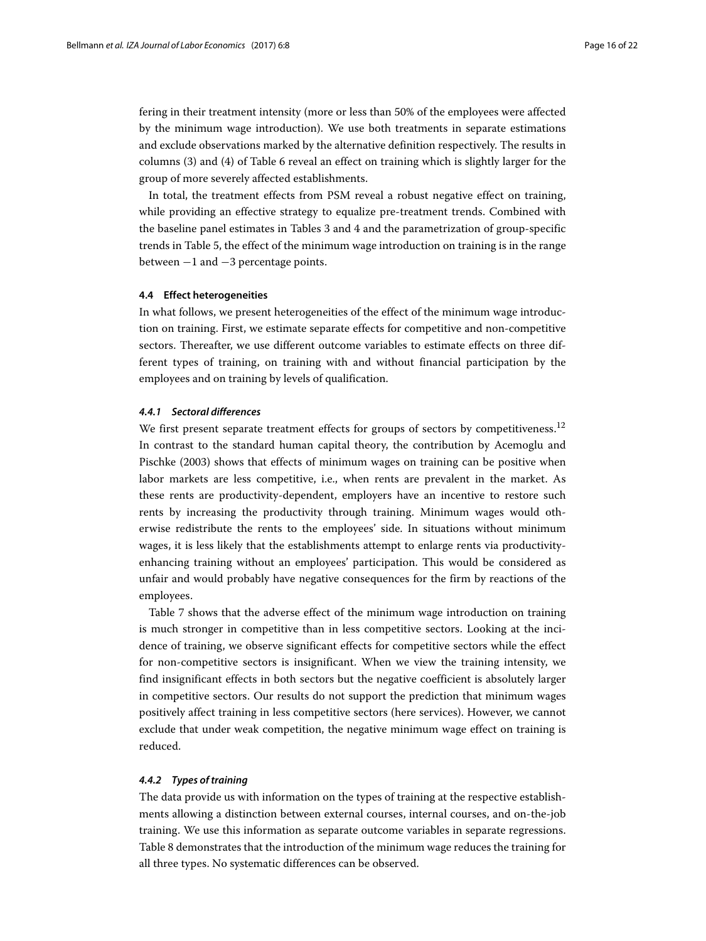fering in their treatment intensity (more or less than 50% of the employees were affected by the minimum wage introduction). We use both treatments in separate estimations and exclude observations marked by the alternative definition respectively. The results in columns (3) and (4) of Table [6](#page-14-0) reveal an effect on training which is slightly larger for the group of more severely affected establishments.

In total, the treatment effects from PSM reveal a robust negative effect on training, while providing an effective strategy to equalize pre-treatment trends. Combined with the baseline panel estimates in Tables [3](#page-9-1) and [4](#page-10-0) and the parametrization of group-specific trends in Table [5,](#page-13-0) the effect of the minimum wage introduction on training is in the range between −1 and −3 percentage points.

#### **4.4 Effect heterogeneities**

In what follows, we present heterogeneities of the effect of the minimum wage introduction on training. First, we estimate separate effects for competitive and non-competitive sectors. Thereafter, we use different outcome variables to estimate effects on three different types of training, on training with and without financial participation by the employees and on training by levels of qualification.

#### *4.4.1 Sectoral differences*

We first present separate treatment effects for groups of sectors by competitiveness.<sup>12</sup> In contrast to the standard human capital theory, the contribution by Acemoglu and Pischke [\(2003\)](#page-21-12) shows that effects of minimum wages on training can be positive when labor markets are less competitive, i.e., when rents are prevalent in the market. As these rents are productivity-dependent, employers have an incentive to restore such rents by increasing the productivity through training. Minimum wages would otherwise redistribute the rents to the employees' side. In situations without minimum wages, it is less likely that the establishments attempt to enlarge rents via productivityenhancing training without an employees' participation. This would be considered as unfair and would probably have negative consequences for the firm by reactions of the employees.

Table [7](#page-16-0) shows that the adverse effect of the minimum wage introduction on training is much stronger in competitive than in less competitive sectors. Looking at the incidence of training, we observe significant effects for competitive sectors while the effect for non-competitive sectors is insignificant. When we view the training intensity, we find insignificant effects in both sectors but the negative coefficient is absolutely larger in competitive sectors. Our results do not support the prediction that minimum wages positively affect training in less competitive sectors (here services). However, we cannot exclude that under weak competition, the negative minimum wage effect on training is reduced.

#### *4.4.2 Types of training*

The data provide us with information on the types of training at the respective establishments allowing a distinction between external courses, internal courses, and on-the-job training. We use this information as separate outcome variables in separate regressions. Table [8](#page-16-1) demonstrates that the introduction of the minimum wage reduces the training for all three types. No systematic differences can be observed.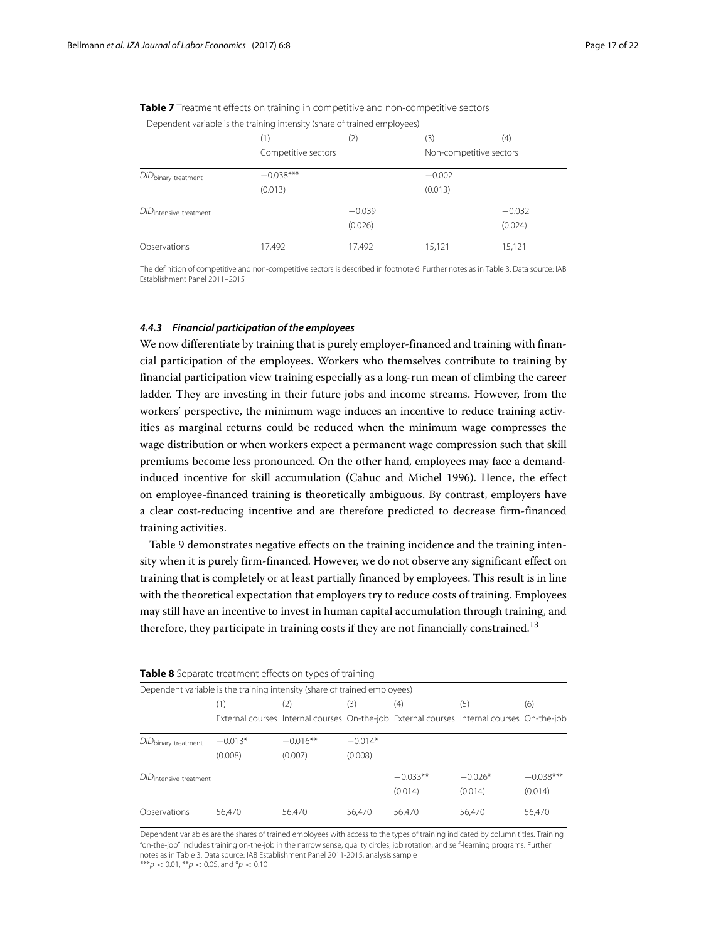| Dependent variable is the training intensity (share of trained employees) |                     |          |                         |          |  |  |
|---------------------------------------------------------------------------|---------------------|----------|-------------------------|----------|--|--|
|                                                                           | (1)                 | (2)      | (3)                     | (4)      |  |  |
|                                                                           | Competitive sectors |          | Non-competitive sectors |          |  |  |
| DiD <sub>binary</sub> treatment                                           | $-0.038***$         |          | $-0.002$                |          |  |  |
|                                                                           | (0.013)             |          | (0.013)                 |          |  |  |
| DiD <sub>intensive treatment</sub>                                        |                     | $-0.039$ |                         | $-0.032$ |  |  |
|                                                                           |                     | (0.026)  |                         | (0.024)  |  |  |
| Observations                                                              | 17,492              | 17,492   | 15,121                  | 15,121   |  |  |

<span id="page-16-0"></span>

| <b>Table 7</b> Treatment effects on training in competitive and non-competitive sectors |  |  |
|-----------------------------------------------------------------------------------------|--|--|
|                                                                                         |  |  |

The definition of competitive and non-competitive sectors is described in footnote 6. Further notes as in Table [3.](#page-9-1) Data source: IAB Establishment Panel 2011–2015

#### *4.4.3 Financial participation of the employees*

We now differentiate by training that is purely employer-financed and training with financial participation of the employees. Workers who themselves contribute to training by financial participation view training especially as a long-run mean of climbing the career ladder. They are investing in their future jobs and income streams. However, from the workers' perspective, the minimum wage induces an incentive to reduce training activities as marginal returns could be reduced when the minimum wage compresses the wage distribution or when workers expect a permanent wage compression such that skill premiums become less pronounced. On the other hand, employees may face a demandinduced incentive for skill accumulation (Cahuc and Michel [1996\)](#page-21-16). Hence, the effect on employee-financed training is theoretically ambiguous. By contrast, employers have a clear cost-reducing incentive and are therefore predicted to decrease firm-financed training activities.

Table [9](#page-17-0) demonstrates negative effects on the training incidence and the training intensity when it is purely firm-financed. However, we do not observe any significant effect on training that is completely or at least partially financed by employees. This result is in line with the theoretical expectation that employers try to reduce costs of training. Employees may still have an incentive to invest in human capital accumulation through training, and therefore, they participate in training costs if they are not financially constrained.<sup>13</sup>

<span id="page-16-1"></span>

| <b>Table o</b> Separate treatment effects on types of training            |                      |                       |                      |                                                                                           |                      |                        |
|---------------------------------------------------------------------------|----------------------|-----------------------|----------------------|-------------------------------------------------------------------------------------------|----------------------|------------------------|
| Dependent variable is the training intensity (share of trained employees) |                      |                       |                      |                                                                                           |                      |                        |
|                                                                           | (1)                  | (2)                   | (3)                  | (4)                                                                                       | (5)                  | (6)                    |
|                                                                           |                      |                       |                      | External courses Internal courses On-the-job External courses Internal courses On-the-job |                      |                        |
| DiD <sub>binary</sub> treatment                                           | $-0.013*$<br>(0.008) | $-0.016**$<br>(0.007) | $-0.014*$<br>(0.008) |                                                                                           |                      |                        |
| DiD <sub>intensive treatment</sub>                                        |                      |                       |                      | $-0.033**$<br>(0.014)                                                                     | $-0.026*$<br>(0.014) | $-0.038***$<br>(0.014) |
| Observations                                                              | 56,470               | 56.470                | 56,470               | 56,470                                                                                    | 56.470               | 56.470                 |

| Table 8 Separate treatment effects on types of training |  |  |
|---------------------------------------------------------|--|--|
|                                                         |  |  |

Dependent variables are the shares of trained employees with access to the types of training indicated by column titles. Training "on-the-job" includes training on-the-job in the narrow sense, quality circles, job rotation, and self-learning programs. Further notes as in Table [3.](#page-9-1) Data source: IAB Establishment Panel 2011-2015, analysis sample

\*\*\* $p < 0.01$ , \*\* $p < 0.05$ , and \* $p < 0.10$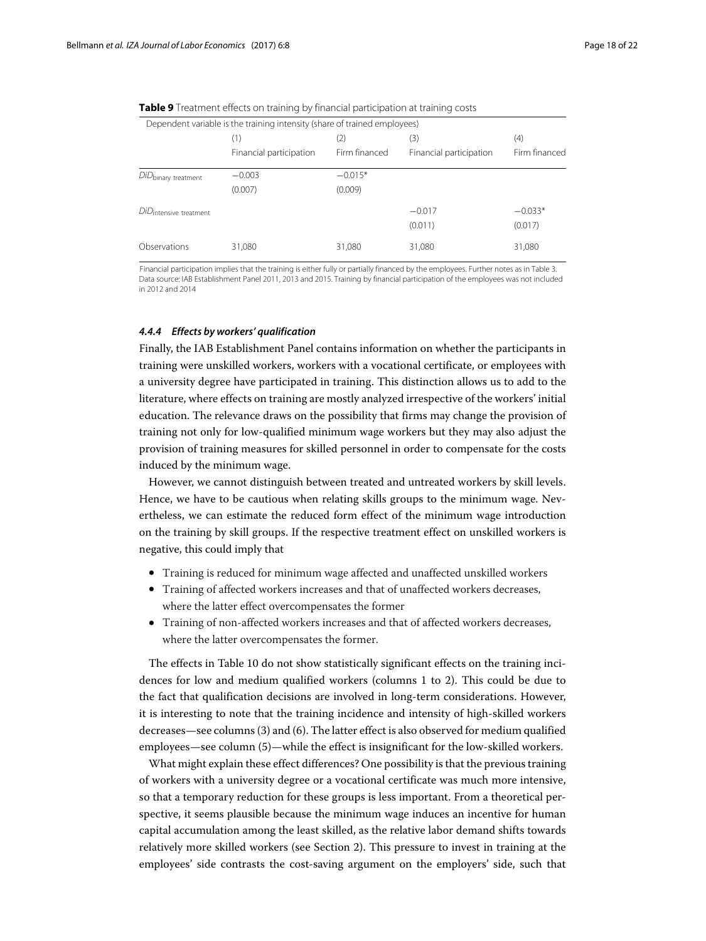|                                    | Dependent variable is the training intensity (share of trained employees) |               |                         |               |
|------------------------------------|---------------------------------------------------------------------------|---------------|-------------------------|---------------|
|                                    | (1)                                                                       | (2)           | (3)                     | (4)           |
|                                    | Financial participation                                                   | Firm financed | Financial participation | Firm financed |
| DiD <sub>binary</sub> treatment    | $-0.003$                                                                  | $-0.015*$     |                         |               |
|                                    | (0.007)                                                                   | (0.009)       |                         |               |
| DiD <sub>intensive treatment</sub> |                                                                           |               | $-0.017$                | $-0.033*$     |
|                                    |                                                                           |               | (0.011)                 | (0.017)       |
| Observations                       | 31,080                                                                    | 31,080        | 31,080                  | 31,080        |

<span id="page-17-0"></span>

| Table 9 Treatment effects on training by financial participation at training costs |  |  |
|------------------------------------------------------------------------------------|--|--|
|                                                                                    |  |  |

Financial participation implies that the training is either fully or partially financed by the employees. Further notes as in Table [3.](#page-9-1) Data source: IAB Establishment Panel 2011, 2013 and 2015. Training by financial participation of the employees was not included in 2012 and 2014

#### *4.4.4 Effects by workers' qualification*

Finally, the IAB Establishment Panel contains information on whether the participants in training were unskilled workers, workers with a vocational certificate, or employees with a university degree have participated in training. This distinction allows us to add to the literature, where effects on training are mostly analyzed irrespective of the workers' initial education. The relevance draws on the possibility that firms may change the provision of training not only for low-qualified minimum wage workers but they may also adjust the provision of training measures for skilled personnel in order to compensate for the costs induced by the minimum wage.

However, we cannot distinguish between treated and untreated workers by skill levels. Hence, we have to be cautious when relating skills groups to the minimum wage. Nevertheless, we can estimate the reduced form effect of the minimum wage introduction on the training by skill groups. If the respective treatment effect on unskilled workers is negative, this could imply that

- Training is reduced for minimum wage affected and unaffected unskilled workers
- Training of affected workers increases and that of unaffected workers decreases, where the latter effect overcompensates the former
- Training of non-affected workers increases and that of affected workers decreases, where the latter overcompensates the former.

The effects in Table [10](#page-18-1) do not show statistically significant effects on the training incidences for low and medium qualified workers (columns 1 to 2). This could be due to the fact that qualification decisions are involved in long-term considerations. However, it is interesting to note that the training incidence and intensity of high-skilled workers decreases—see columns (3) and (6). The latter effect is also observed for medium qualified employees—see column (5)—while the effect is insignificant for the low-skilled workers.

What might explain these effect differences? One possibility is that the previous training of workers with a university degree or a vocational certificate was much more intensive, so that a temporary reduction for these groups is less important. From a theoretical perspective, it seems plausible because the minimum wage induces an incentive for human capital accumulation among the least skilled, as the relative labor demand shifts towards relatively more skilled workers (see Section [2\)](#page-1-0). This pressure to invest in training at the employees' side contrasts the cost-saving argument on the employers' side, such that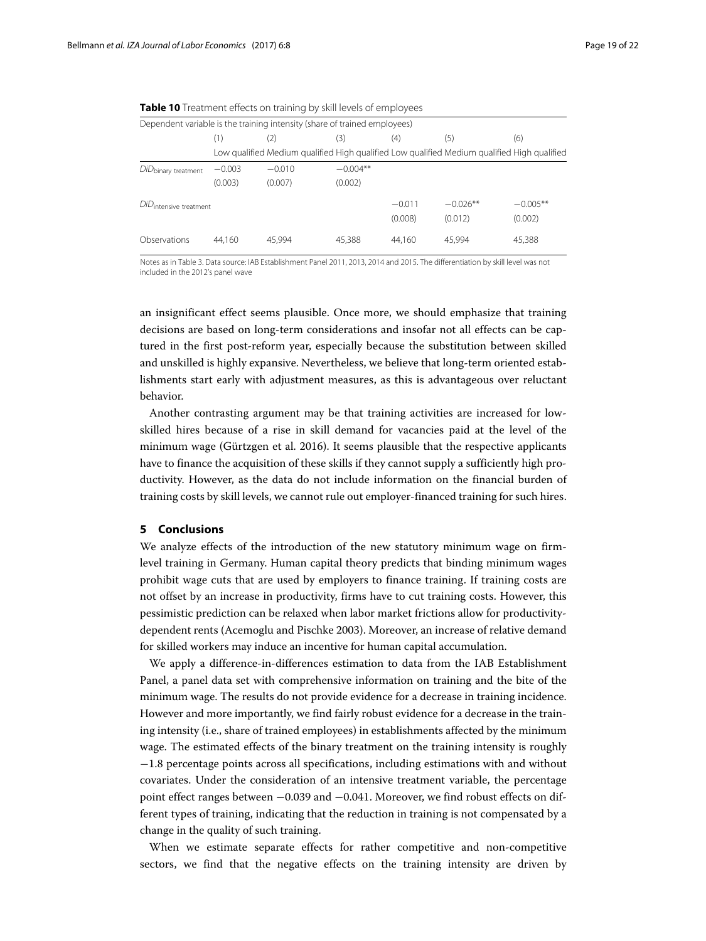| Dependent variable is the training intensity (share of trained employees) |                                                                                             |          |            |          |            |            |  |
|---------------------------------------------------------------------------|---------------------------------------------------------------------------------------------|----------|------------|----------|------------|------------|--|
|                                                                           | (1)                                                                                         | (2)      | (3)        | (4)      | (5)        | (6)        |  |
|                                                                           | Low qualified Medium qualified High qualified Low qualified Medium qualified High qualified |          |            |          |            |            |  |
| DiD <sub>binary</sub> treatment                                           | $-0.003$                                                                                    | $-0.010$ | $-0.004**$ |          |            |            |  |
|                                                                           | (0.003)                                                                                     | (0.007)  | (0.002)    |          |            |            |  |
| DiD <sub>intensive treatment</sub>                                        |                                                                                             |          |            | $-0.011$ | $-0.026**$ | $-0.005**$ |  |
|                                                                           |                                                                                             |          |            | (0.008)  | (0.012)    | (0.002)    |  |
| Observations                                                              | 44.160                                                                                      | 45.994   | 45.388     | 44.160   | 45.994     | 45,388     |  |

<span id="page-18-1"></span>

| Table 10 Treatment effects on training by skill levels of employees |  |  |  |  |  |  |  |
|---------------------------------------------------------------------|--|--|--|--|--|--|--|
|---------------------------------------------------------------------|--|--|--|--|--|--|--|

Notes as in Table [3.](#page-9-1) Data source: IAB Establishment Panel 2011, 2013, 2014 and 2015. The differentiation by skill level was not included in the 2012's panel wave

an insignificant effect seems plausible. Once more, we should emphasize that training decisions are based on long-term considerations and insofar not all effects can be captured in the first post-reform year, especially because the substitution between skilled and unskilled is highly expansive. Nevertheless, we believe that long-term oriented establishments start early with adjustment measures, as this is advantageous over reluctant behavior.

Another contrasting argument may be that training activities are increased for lowskilled hires because of a rise in skill demand for vacancies paid at the level of the minimum wage (Gürtzgen et al. [2016\)](#page-21-17). It seems plausible that the respective applicants have to finance the acquisition of these skills if they cannot supply a sufficiently high productivity. However, as the data do not include information on the financial burden of training costs by skill levels, we cannot rule out employer-financed training for such hires.

#### <span id="page-18-0"></span>**5 Conclusions**

We analyze effects of the introduction of the new statutory minimum wage on firmlevel training in Germany. Human capital theory predicts that binding minimum wages prohibit wage cuts that are used by employers to finance training. If training costs are not offset by an increase in productivity, firms have to cut training costs. However, this pessimistic prediction can be relaxed when labor market frictions allow for productivitydependent rents (Acemoglu and Pischke [2003\)](#page-21-12). Moreover, an increase of relative demand for skilled workers may induce an incentive for human capital accumulation.

We apply a difference-in-differences estimation to data from the IAB Establishment Panel, a panel data set with comprehensive information on training and the bite of the minimum wage. The results do not provide evidence for a decrease in training incidence. However and more importantly, we find fairly robust evidence for a decrease in the training intensity (i.e., share of trained employees) in establishments affected by the minimum wage. The estimated effects of the binary treatment on the training intensity is roughly −1.8 percentage points across all specifications, including estimations with and without covariates. Under the consideration of an intensive treatment variable, the percentage point effect ranges between −0.039 and −0.041. Moreover, we find robust effects on different types of training, indicating that the reduction in training is not compensated by a change in the quality of such training.

When we estimate separate effects for rather competitive and non-competitive sectors, we find that the negative effects on the training intensity are driven by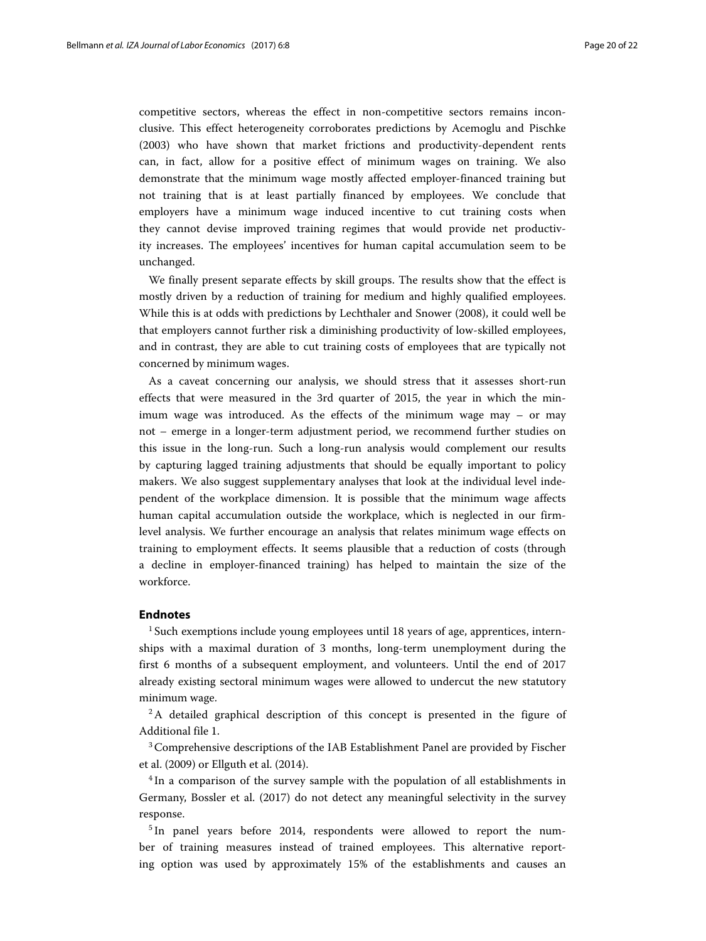competitive sectors, whereas the effect in non-competitive sectors remains inconclusive. This effect heterogeneity corroborates predictions by Acemoglu and Pischke [\(2003\)](#page-21-12) who have shown that market frictions and productivity-dependent rents can, in fact, allow for a positive effect of minimum wages on training. We also demonstrate that the minimum wage mostly affected employer-financed training but not training that is at least partially financed by employees. We conclude that employers have a minimum wage induced incentive to cut training costs when they cannot devise improved training regimes that would provide net productivity increases. The employees' incentives for human capital accumulation seem to be unchanged.

We finally present separate effects by skill groups. The results show that the effect is mostly driven by a reduction of training for medium and highly qualified employees. While this is at odds with predictions by Lechthaler and Snower [\(2008\)](#page-21-15), it could well be that employers cannot further risk a diminishing productivity of low-skilled employees, and in contrast, they are able to cut training costs of employees that are typically not concerned by minimum wages.

As a caveat concerning our analysis, we should stress that it assesses short-run effects that were measured in the 3rd quarter of 2015, the year in which the minimum wage was introduced. As the effects of the minimum wage may – or may not – emerge in a longer-term adjustment period, we recommend further studies on this issue in the long-run. Such a long-run analysis would complement our results by capturing lagged training adjustments that should be equally important to policy makers. We also suggest supplementary analyses that look at the individual level independent of the workplace dimension. It is possible that the minimum wage affects human capital accumulation outside the workplace, which is neglected in our firmlevel analysis. We further encourage an analysis that relates minimum wage effects on training to employment effects. It seems plausible that a reduction of costs (through a decline in employer-financed training) has helped to maintain the size of the workforce.

#### **Endnotes**

 $<sup>1</sup>$  Such exemptions include young employees until 18 years of age, apprentices, intern-</sup> ships with a maximal duration of 3 months, long-term unemployment during the first 6 months of a subsequent employment, and volunteers. Until the end of 2017 already existing sectoral minimum wages were allowed to undercut the new statutory minimum wage.

<sup>2</sup>A detailed graphical description of this concept is presented in the figure of Additional file [1.](#page-20-0)

<sup>3</sup> Comprehensive descriptions of the IAB Establishment Panel are provided by Fischer et al. [\(2009\)](#page-21-36) or Ellguth et al. [\(2014\)](#page-21-37).

<sup>4</sup> In a comparison of the survey sample with the population of all establishments in Germany, Bossler et al. [\(2017\)](#page-21-38) do not detect any meaningful selectivity in the survey response.

<sup>5</sup>In panel years before 2014, respondents were allowed to report the number of training measures instead of trained employees. This alternative reporting option was used by approximately 15% of the establishments and causes an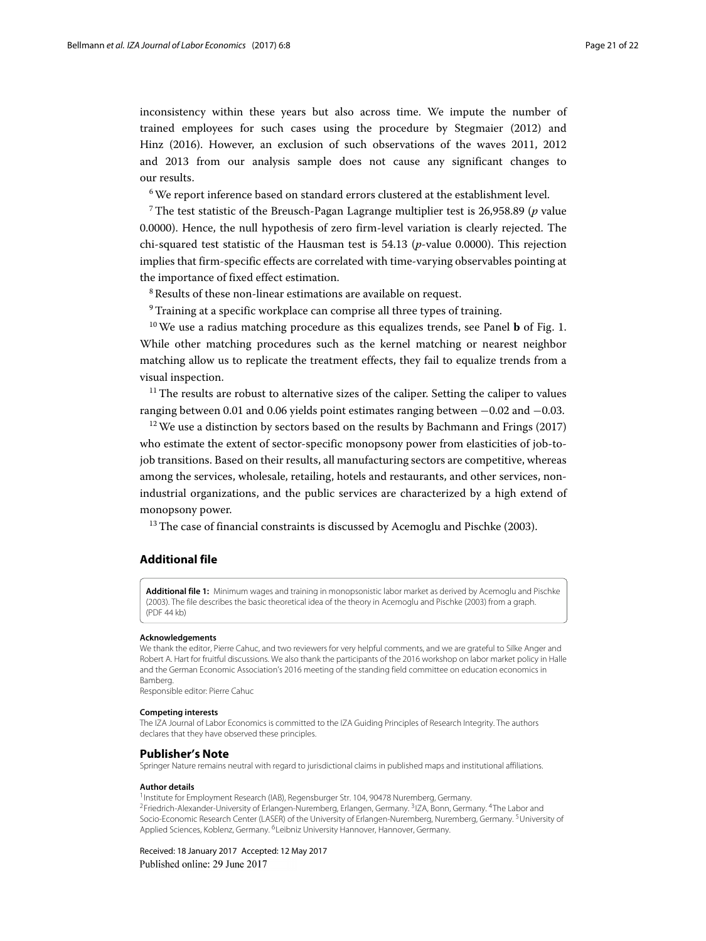inconsistency within these years but also across time. We impute the number of trained employees for such cases using the procedure by Stegmaier [\(2012\)](#page-21-39) and Hinz [\(2016\)](#page-21-40). However, an exclusion of such observations of the waves 2011, 2012 and 2013 from our analysis sample does not cause any significant changes to our results.

<sup>6</sup>We report inference based on standard errors clustered at the establishment level.

7The test statistic of the Breusch-Pagan Lagrange multiplier test is 26,958.89 (*p* value 0.0000). Hence, the null hypothesis of zero firm-level variation is clearly rejected. The chi-squared test statistic of the Hausman test is 54.13 (*p*-value 0.0000). This rejection implies that firm-specific effects are correlated with time-varying observables pointing at the importance of fixed effect estimation.

<sup>8</sup> Results of these non-linear estimations are available on request.

<sup>9</sup> Training at a specific workplace can comprise all three types of training.

10We use a radius matching procedure as this equalizes trends, see Panel **b** of Fig. [1.](#page-12-0) While other matching procedures such as the kernel matching or nearest neighbor matching allow us to replicate the treatment effects, they fail to equalize trends from a visual inspection.

 $11$ <sup>11</sup> The results are robust to alternative sizes of the caliper. Setting the caliper to values ranging between 0.01 and 0.06 yields point estimates ranging between −0.02 and −0.03.

 $12$  We use a distinction by sectors based on the results by Bachmann and Frings [\(2017\)](#page-21-41) who estimate the extent of sector-specific monopsony power from elasticities of job-tojob transitions. Based on their results, all manufacturing sectors are competitive, whereas among the services, wholesale, retailing, hotels and restaurants, and other services, nonindustrial organizations, and the public services are characterized by a high extend of monopsony power.

<sup>13</sup> The case of financial constraints is discussed by Acemoglu and Pischke [\(2003\)](#page-21-12).

### **Additional file**

<span id="page-20-0"></span>**[Additional file 1:](http://dx.doi.org/10.1186/s40172-017-0058-z)** Minimum wages and training in monopsonistic labor market as derived by Acemoglu and Pischke [\(2003\)](#page-21-12). The file describes the basic theoretical idea of the theory in Acemoglu and Pischke [\(2003\)](#page-21-12) from a graph. (PDF 44 kb)

#### **Acknowledgements**

We thank the editor, Pierre Cahuc, and two reviewers for very helpful comments, and we are grateful to Silke Anger and Robert A. Hart for fruitful discussions. We also thank the participants of the 2016 workshop on labor market policy in Halle and the German Economic Association's 2016 meeting of the standing field committee on education economics in Bamberg.

Responsible editor: Pierre Cahuc

#### **Competing interests**

The IZA Journal of Labor Economics is committed to the IZA Guiding Principles of Research Integrity. The authors declares that they have observed these principles.

#### **Publisher's Note**

Springer Nature remains neutral with regard to jurisdictional claims in published maps and institutional affiliations.

#### **Author details**

1Institute for Employment Research (IAB), Regensburger Str. 104, 90478 Nuremberg, Germany. 2Friedrich-Alexander-University of Erlangen-Nuremberg, Erlangen, Germany. 3IZA, Bonn, Germany. 4The Labor and Socio-Economic Research Center (LASER) of the University of Erlangen-Nuremberg, Nuremberg, Germany. 5University of Applied Sciences, Koblenz, Germany. 6Leibniz University Hannover, Hannover, Germany.

Received: 18 January 2017 Accepted: 12 May 2017Published online: 29 June 2017